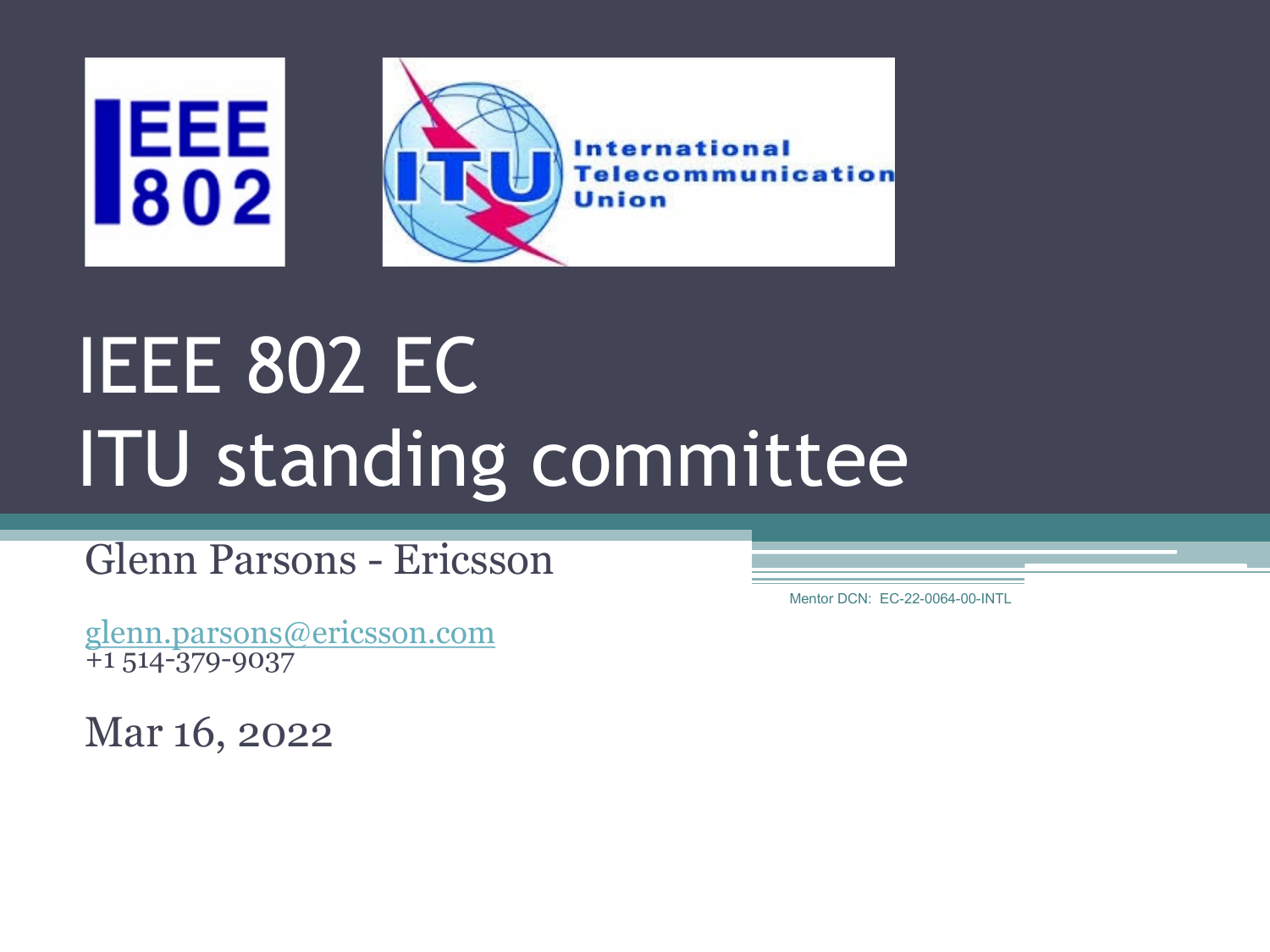

# IEEE 802 EC ITU standing committee

Glenn Parsons - Ericsson

[glenn.parsons@ericsson.com](mailto:glenn.parsons@ericsson.com) +1 514-379-9037

Mar 16, 2022

Mentor DCN: EC-22-0064-00-INTL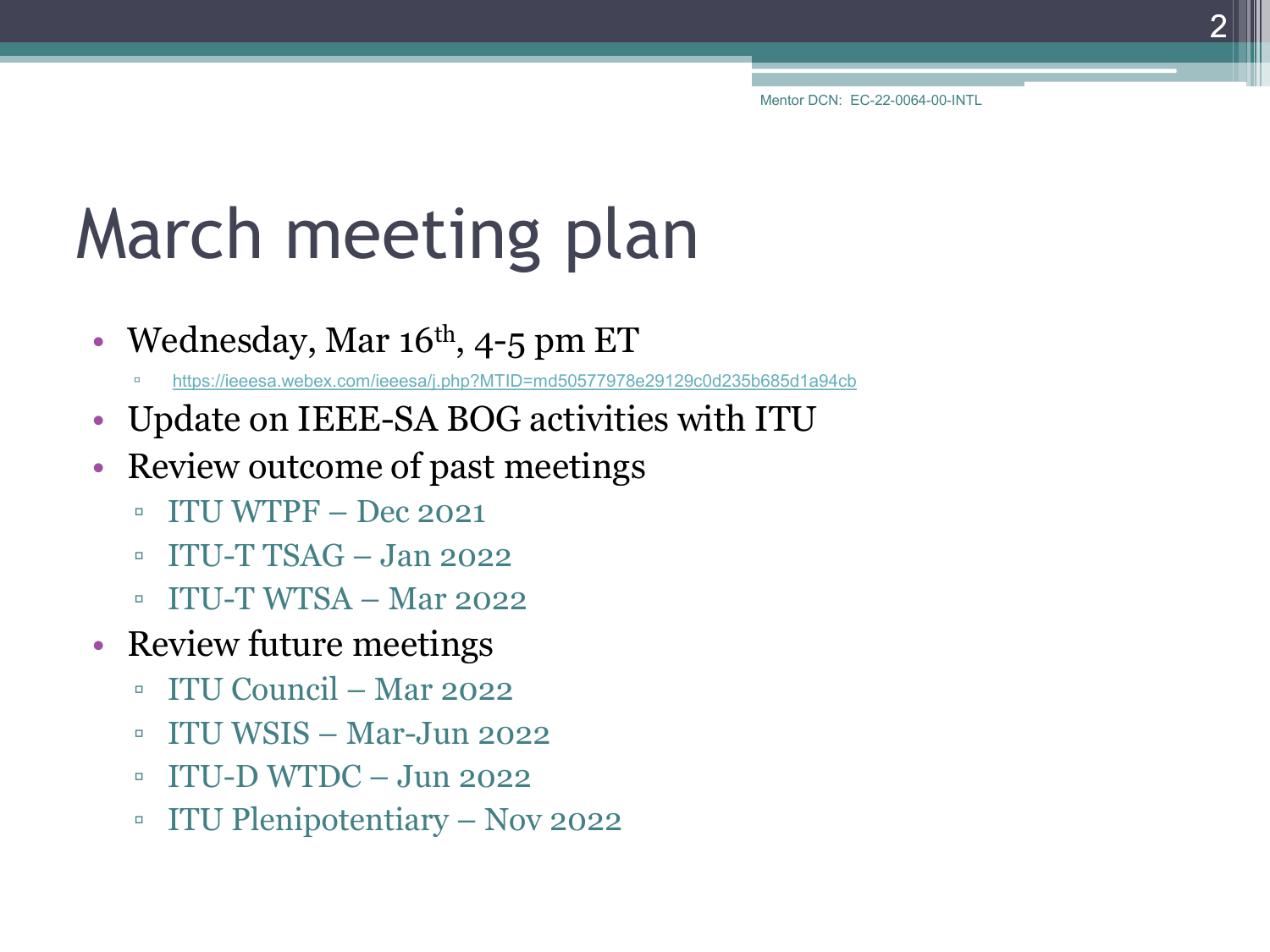# March meeting plan

- Wednesday, Mar  $16<sup>th</sup>$ , 4-5 pm ET
	- <https://ieeesa.webex.com/ieeesa/j.php?MTID=md50577978e29129c0d235b685d1a94cb>
- Update on IEEE-SA BOG activities with ITU
- Review outcome of past meetings
	- $\blacksquare$  ITU WTPF Dec 2021
	- $\blacksquare$  ITU-T TSAG Jan 2022
	- ITU-T WTSA Mar 2022
- Review future meetings
	- ITU Council Mar 2022
	- ITU WSIS Mar-Jun 2022
	- $\blacksquare$  ITU-D WTDC Jun 2022
	- ITU Plenipotentiary Nov 2022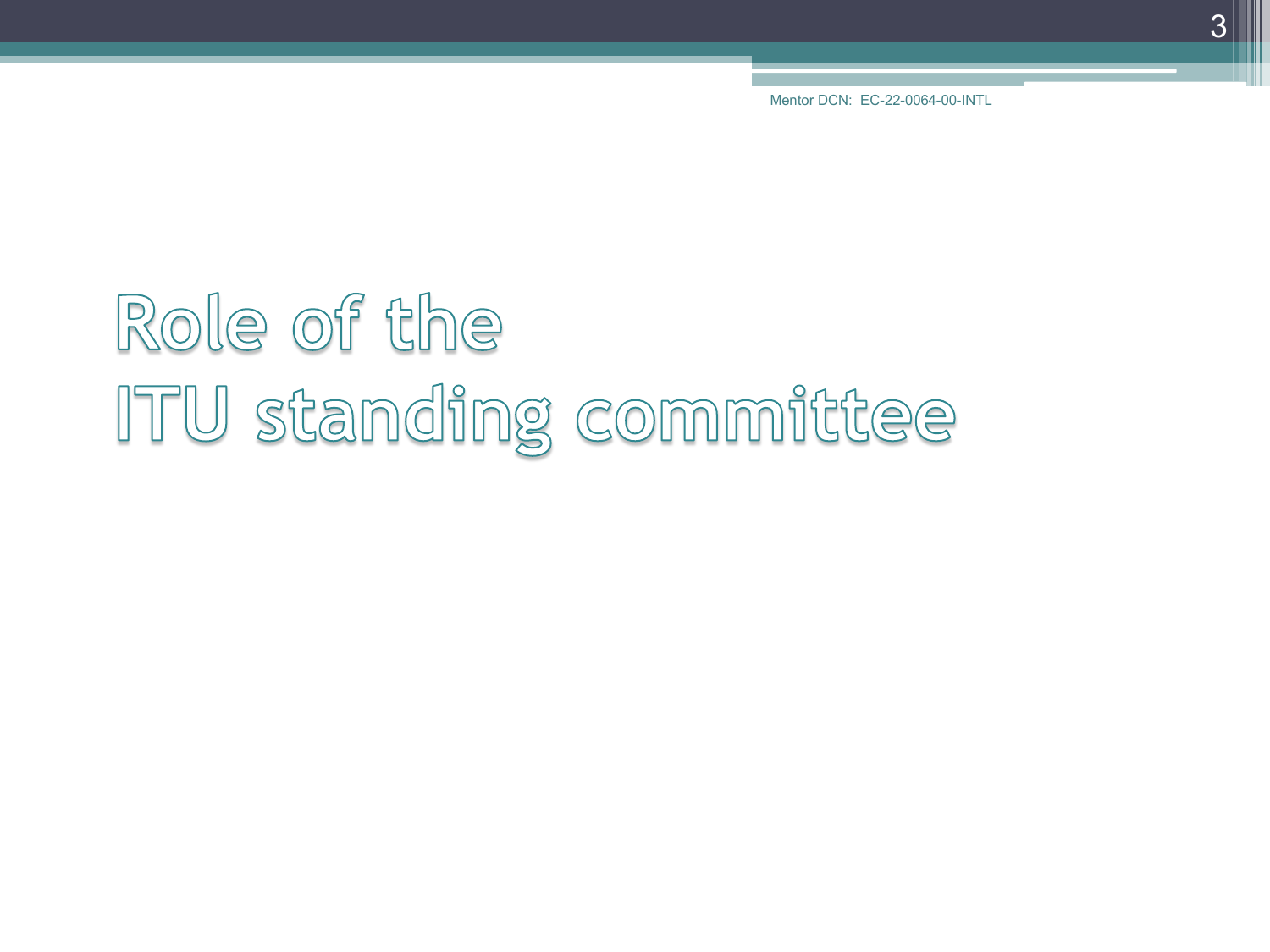# Role of the ITU standing committee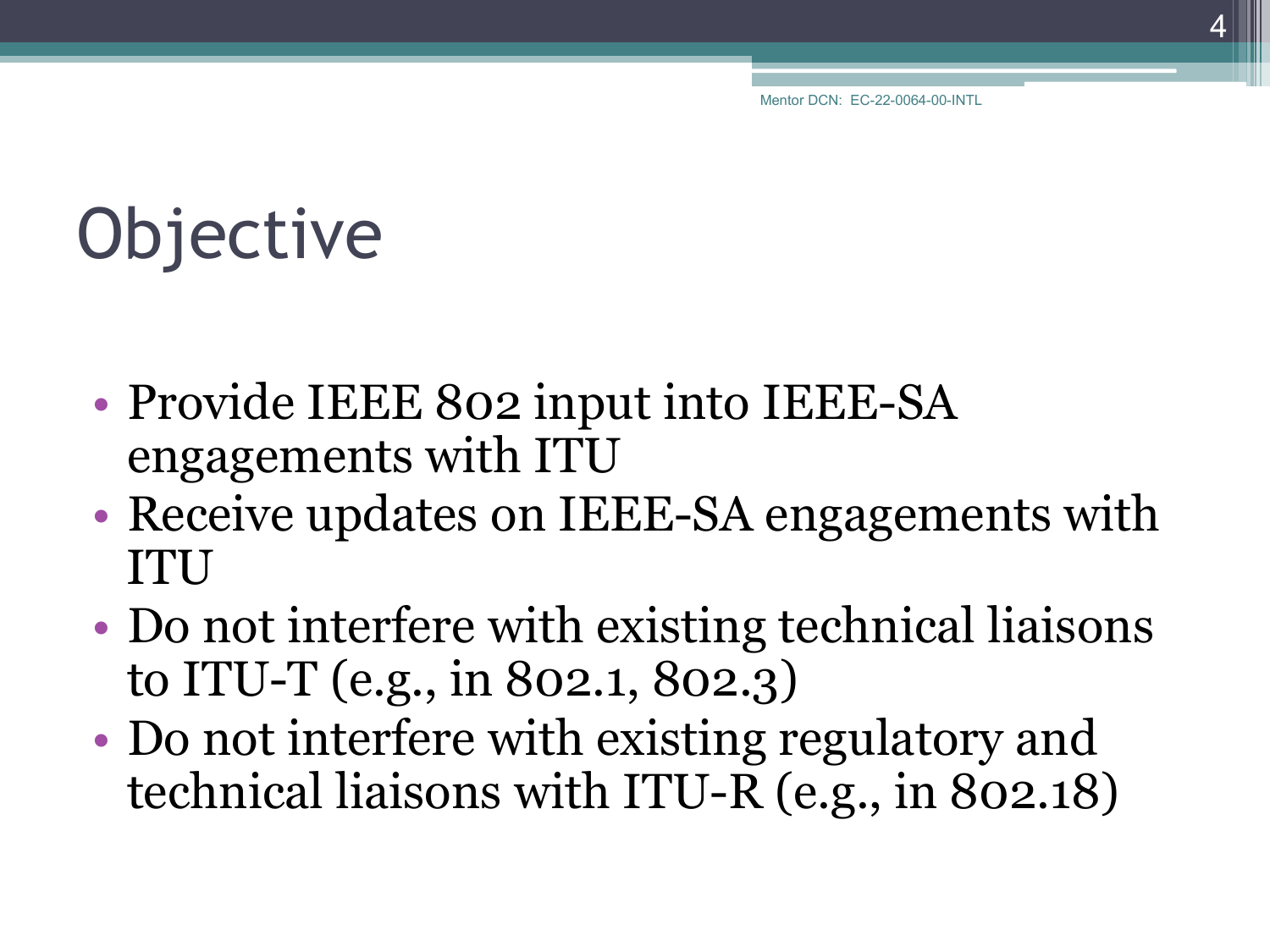# **Objective**

- Provide IEEE 802 input into IEEE-SA engagements with ITU
- Receive updates on IEEE-SA engagements with ITU
- Do not interfere with existing technical liaisons to ITU-T (e.g., in 802.1, 802.3)
- Do not interfere with existing regulatory and technical liaisons with ITU-R (e.g., in 802.18)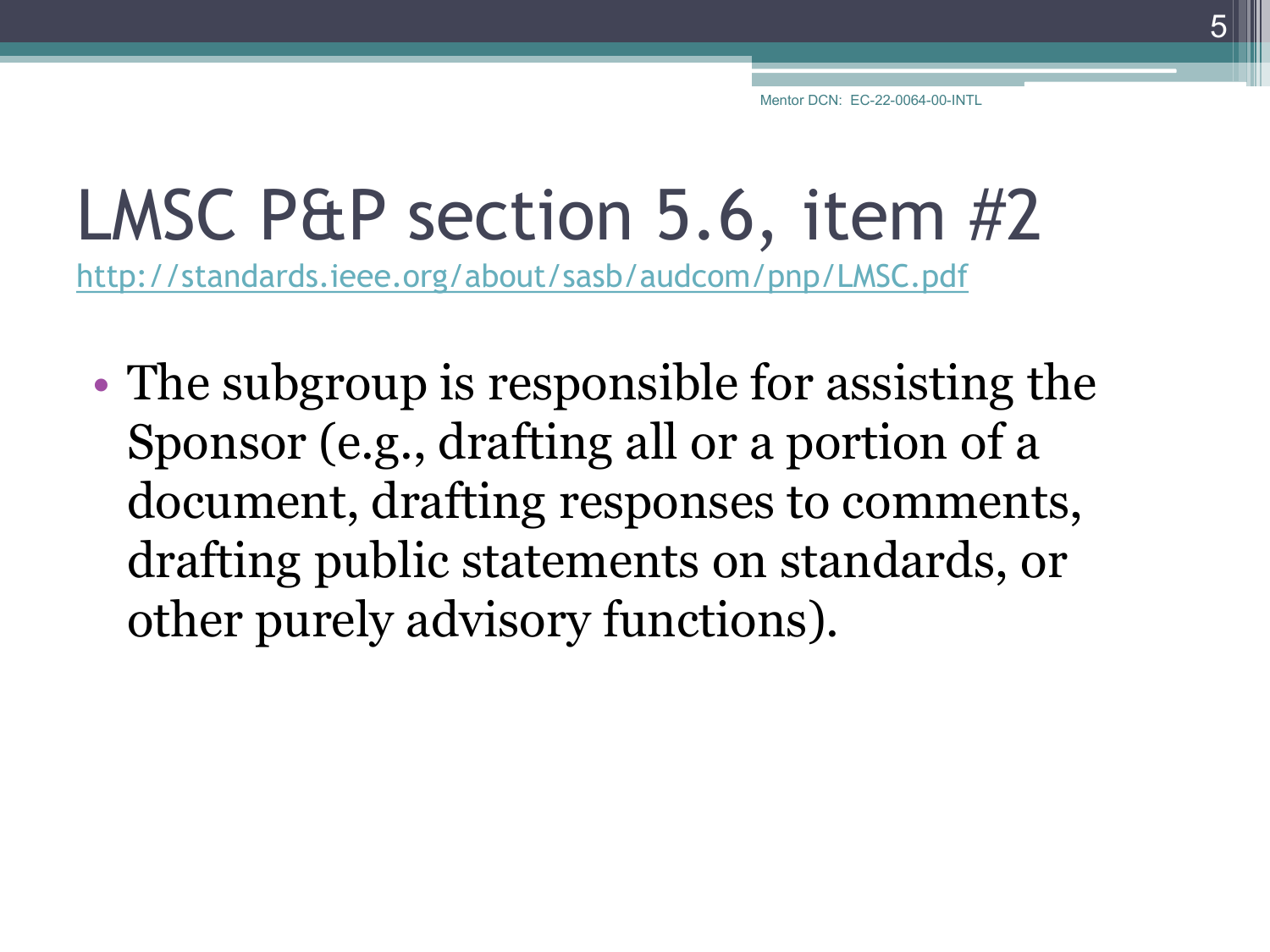#### LMSC P&P section 5.6, item #2

<http://standards.ieee.org/about/sasb/audcom/pnp/LMSC.pdf>

• The subgroup is responsible for assisting the Sponsor (e.g., drafting all or a portion of a document, drafting responses to comments, drafting public statements on standards, or other purely advisory functions).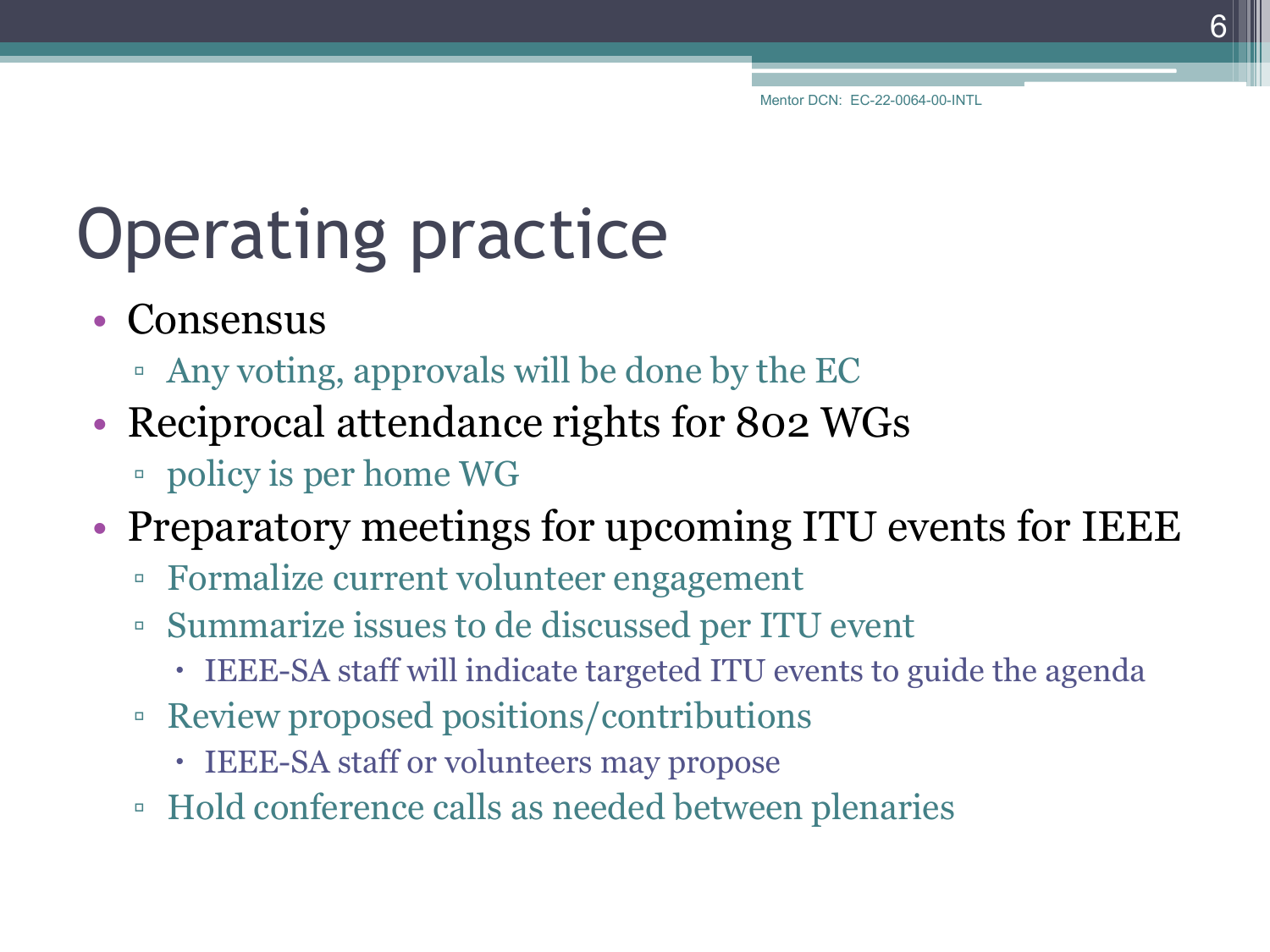# Operating practice

- Consensus
	- Any voting, approvals will be done by the EC
- Reciprocal attendance rights for 802 WGs
	- policy is per home WG
- Preparatory meetings for upcoming ITU events for IEEE
	- Formalize current volunteer engagement
	- Summarize issues to de discussed per ITU event
		- IEEE-SA staff will indicate targeted ITU events to guide the agenda
	- Review proposed positions/contributions
		- IEEE-SA staff or volunteers may propose
	- Hold conference calls as needed between plenaries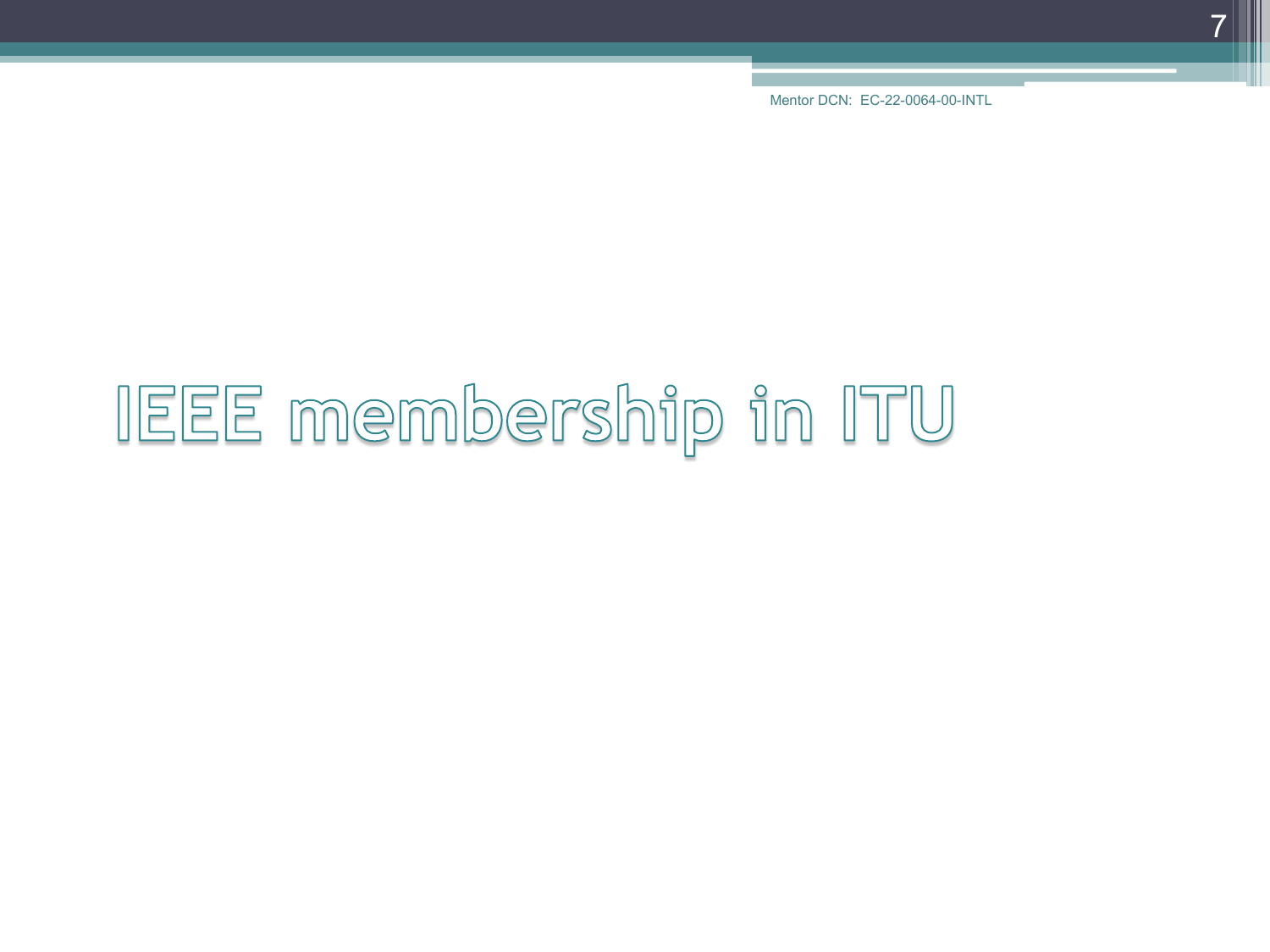# IEEE membership in ITU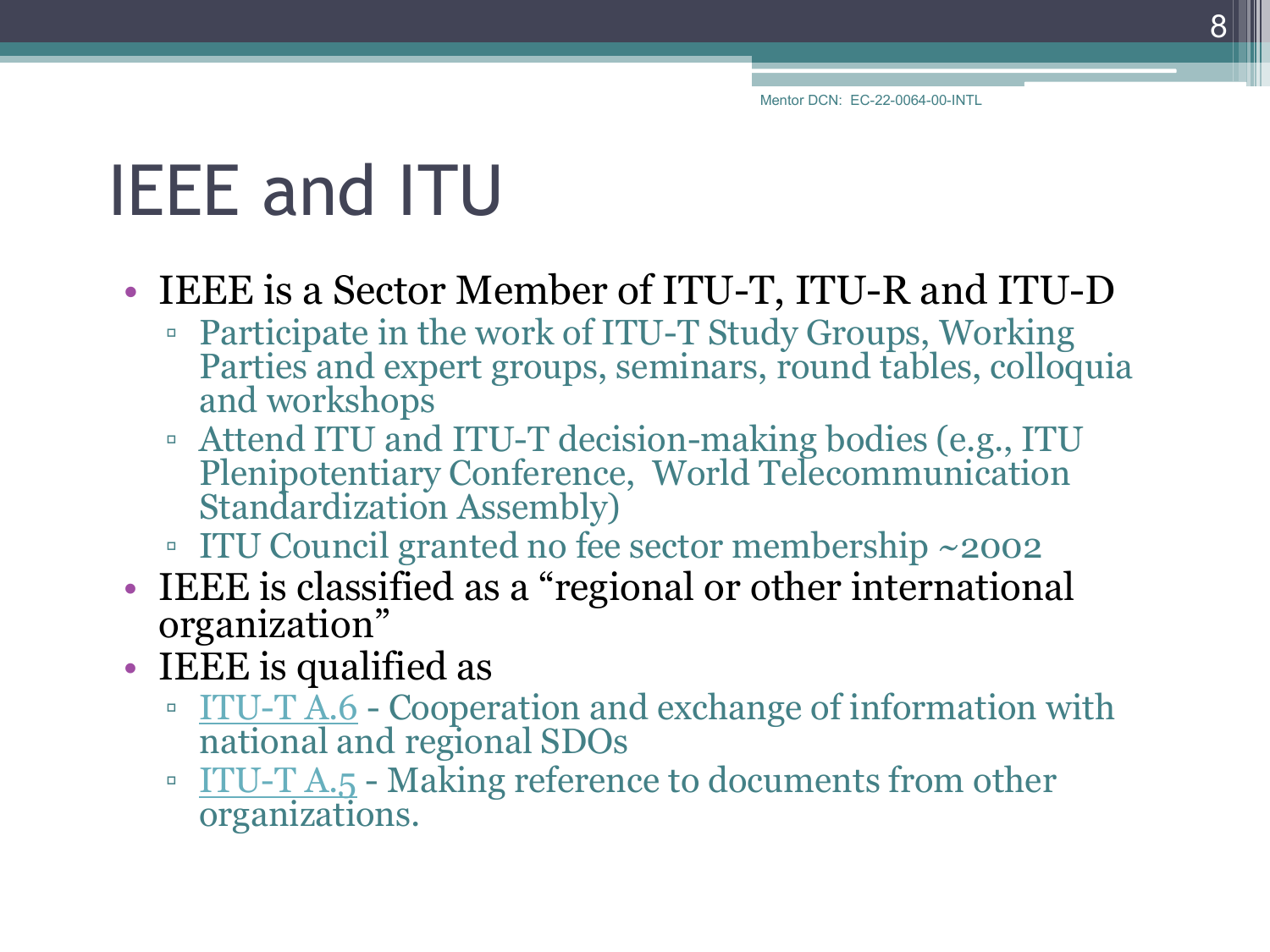# IEEE and ITU

#### • IEEE is a Sector Member of ITU-T, ITU-R and ITU-D

- Participate in the work of ITU-T Study Groups, Working Parties and expert groups, seminars, round tables, colloquia and workshops
- Attend ITU and ITU-T decision-making bodies (e.g., ITU Plenipotentiary Conference, World Telecommunication Standardization Assembly)
- ITU Council granted no fee sector membership ~2002
- IEEE is classified as a "regional or other international organization"
- IEEE is qualified as
	- $\frac{1170 17 \text{ A}}{1100}$  Cooperation and exchange of information with national and regional SDOs
	- [ITU-T A.5](http://www.itu.int/rec/T-REC-A.5) Making reference to documents from other organizations.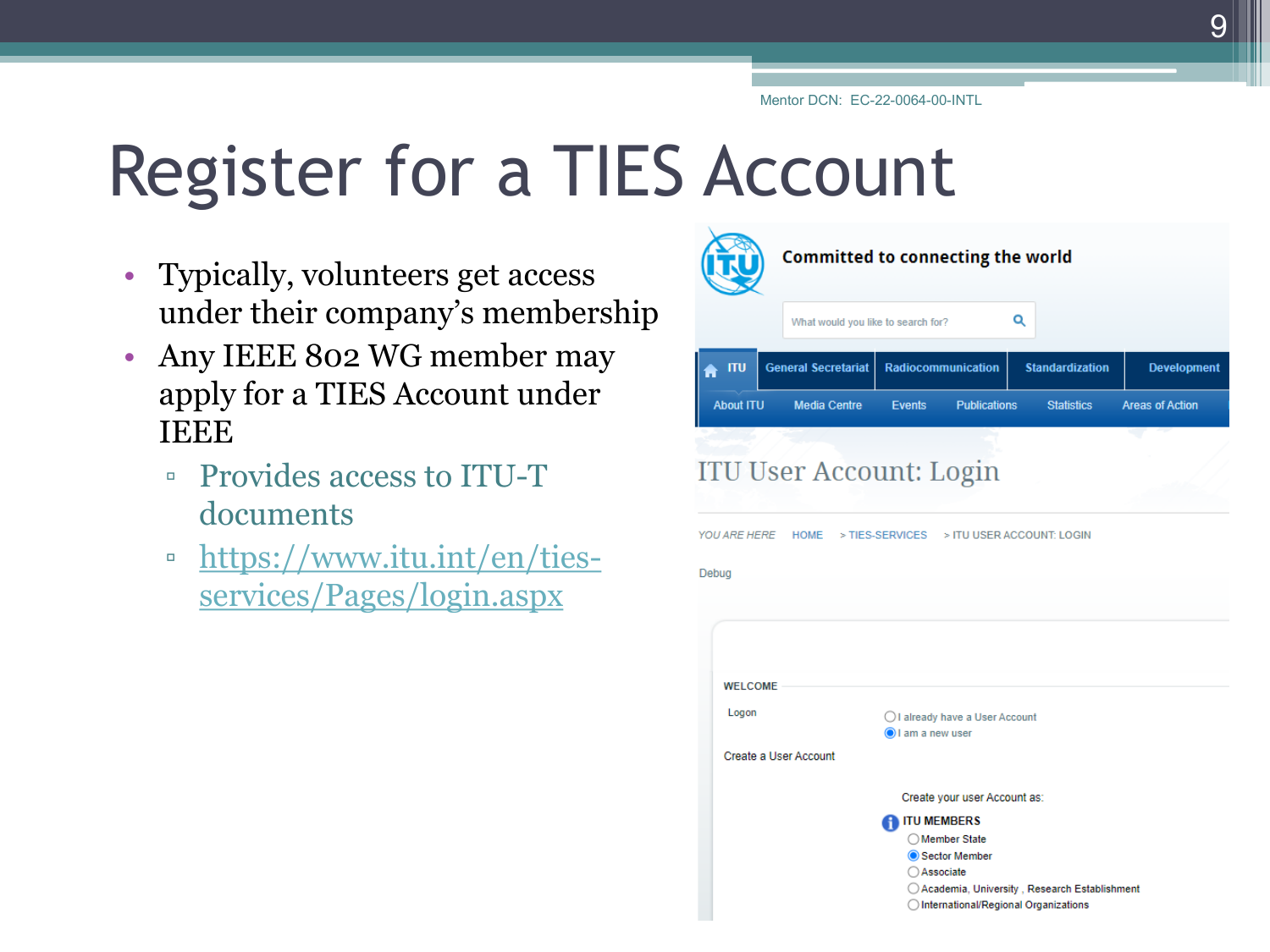# Register for a TIES Account

- Typically, volunteers get access under their company's membership
- Any IEEE 802 WG member may apply for a TIES Account under **IEEE** 
	- Provides access to ITU-T documents
	- □ [https://www.itu.int/en/ties](https://www.itu.int/en/ties-services/Pages/login.aspx)services/Pages/login.aspx

| <b>Committed to connecting the world</b> |                                   |                                                                                                                                                  |                                                |                        |
|------------------------------------------|-----------------------------------|--------------------------------------------------------------------------------------------------------------------------------------------------|------------------------------------------------|------------------------|
|                                          |                                   | Q<br>What would you like to search for?                                                                                                          |                                                |                        |
| <b>ITU</b>                               | <b>General Secretariat</b>        | <b>Radiocommunication</b>                                                                                                                        | <b>Standardization</b>                         | <b>Development</b>     |
| <b>About ITU</b>                         | <b>Media Centre</b>               | <b>Publications</b><br><b>Events</b>                                                                                                             | <b>Statistics</b>                              | <b>Areas of Action</b> |
| Debug                                    | YOU ARE HERE HOME > TIES-SERVICES | <b>ITU User Account: Login</b>                                                                                                                   | > ITU USER ACCOUNT: LOGIN                      |                        |
| <b>WELCOME</b>                           |                                   |                                                                                                                                                  |                                                |                        |
| Logon                                    | Create a User Account             | ◯ I already have a User Account<br>I am a new user                                                                                               |                                                |                        |
|                                          |                                   | Create your user Account as:<br><b>A</b> ITU MEMBERS<br>◯ Member State<br>Sector Member<br>○ Associate<br>◯ International/Regional Organizations | ◯ Academia, University, Research Establishment |                        |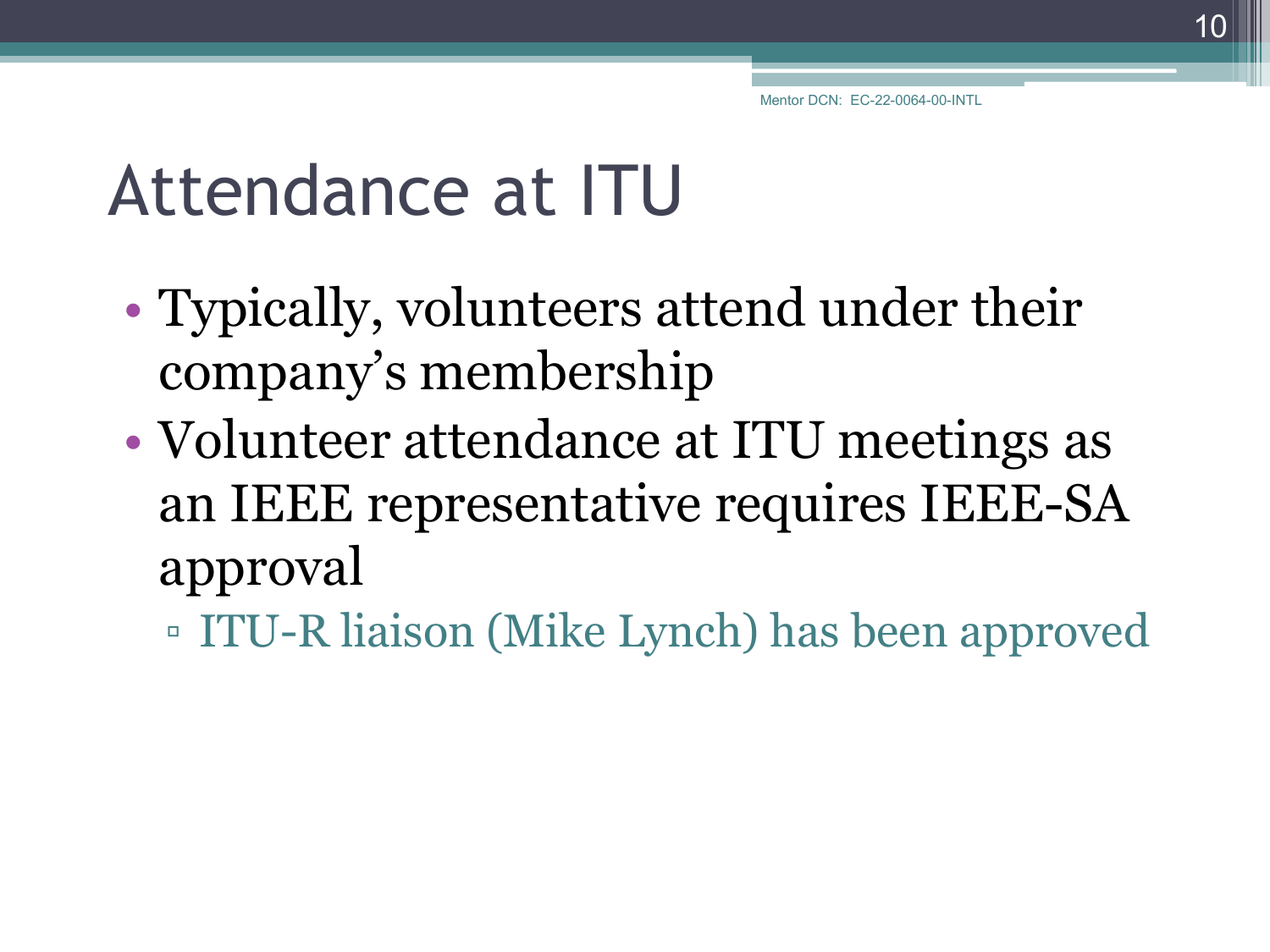#### Attendance at ITU

- Typically, volunteers attend under their company's membership
- Volunteer attendance at ITU meetings as an IEEE representative requires IEEE-SA approval
	- ITU-R liaison (Mike Lynch) has been approved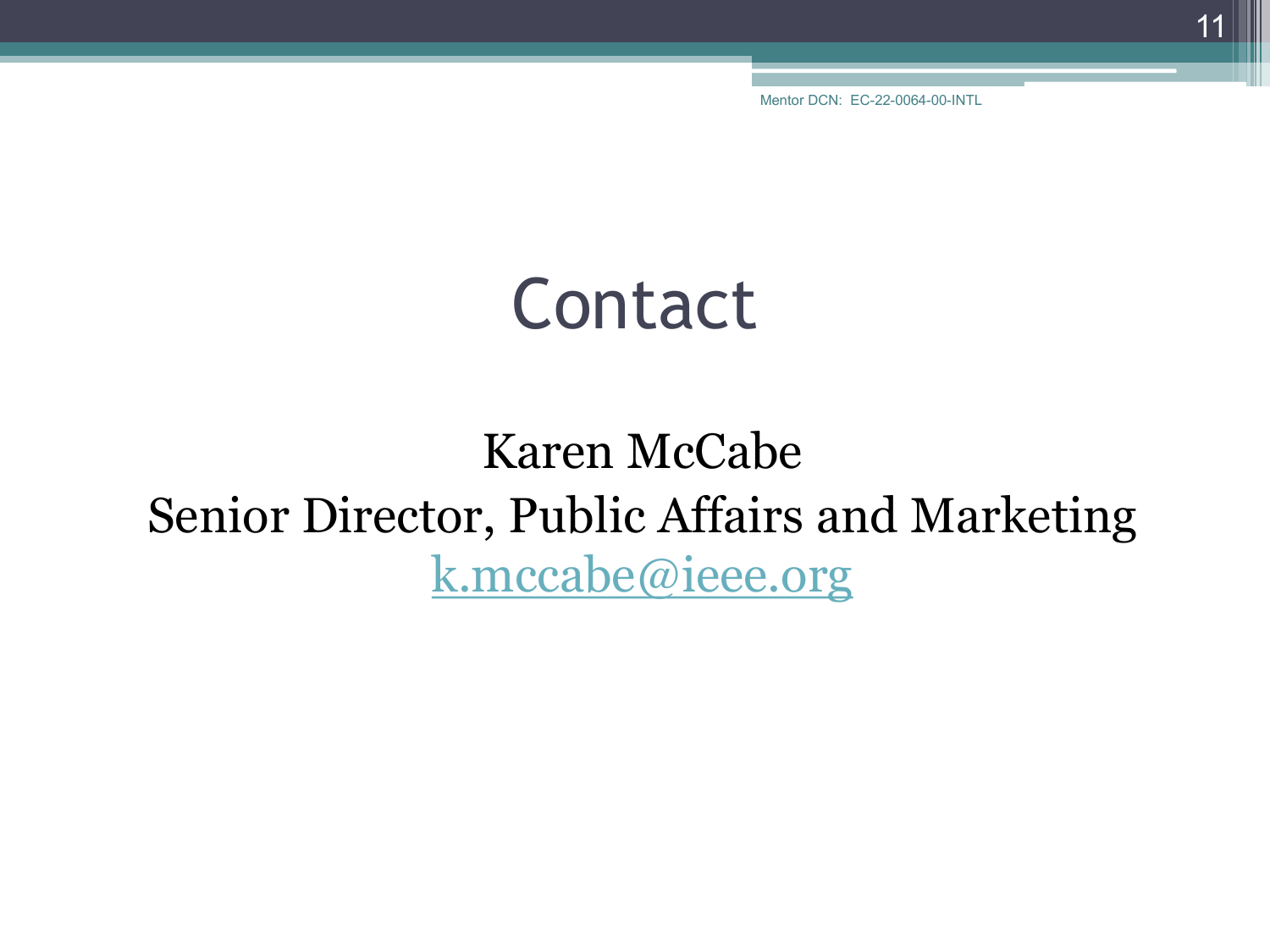#### Contact

#### Karen McCabe Senior Director, Public Affairs and Marketing [k.mccabe@ieee.org](mailto:k.mccabe@ieee.org)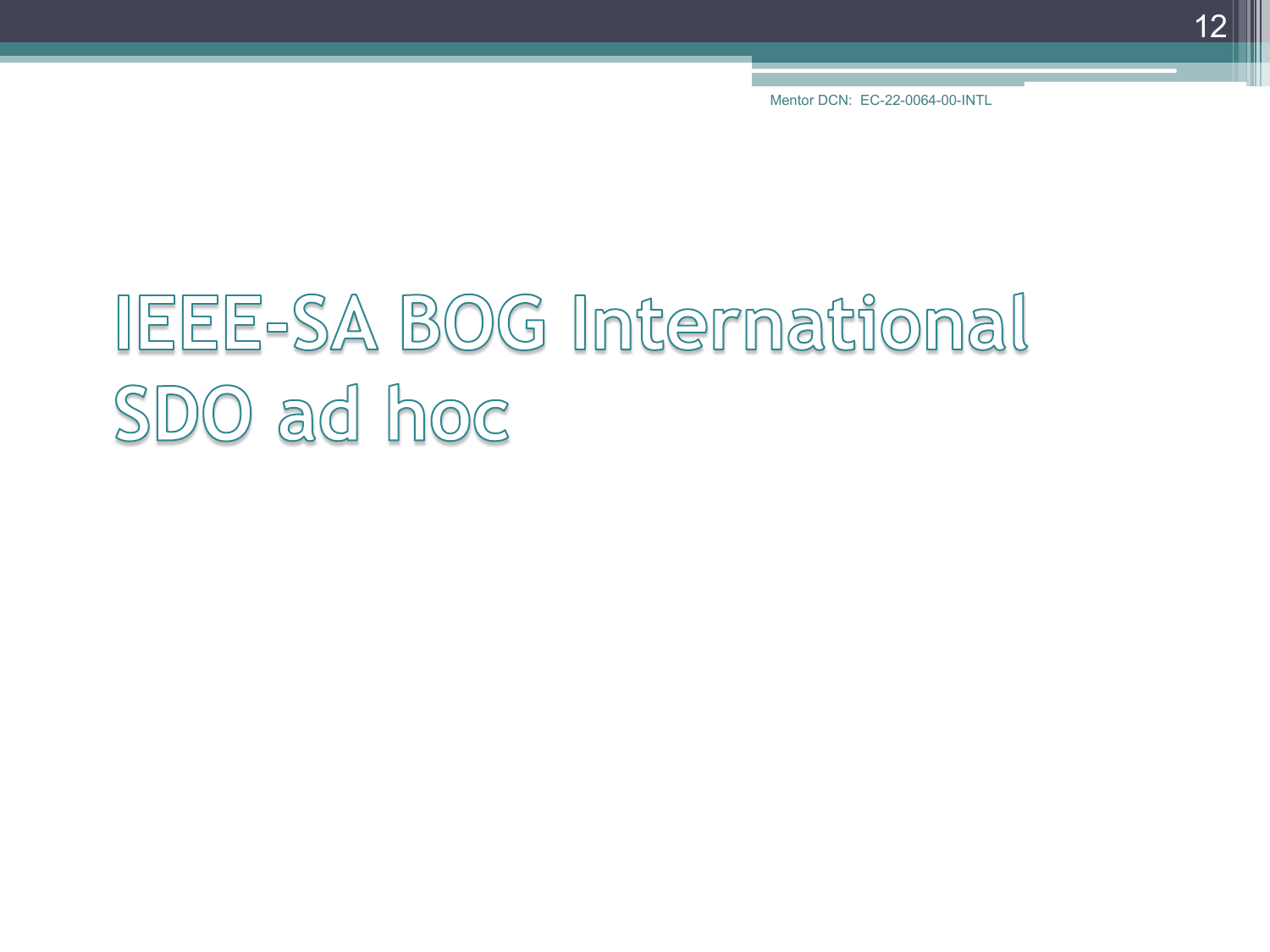12

Mentor DCN: EC-22-0064-00-INTL

# IEEE-SA BOG International SDO ad hoc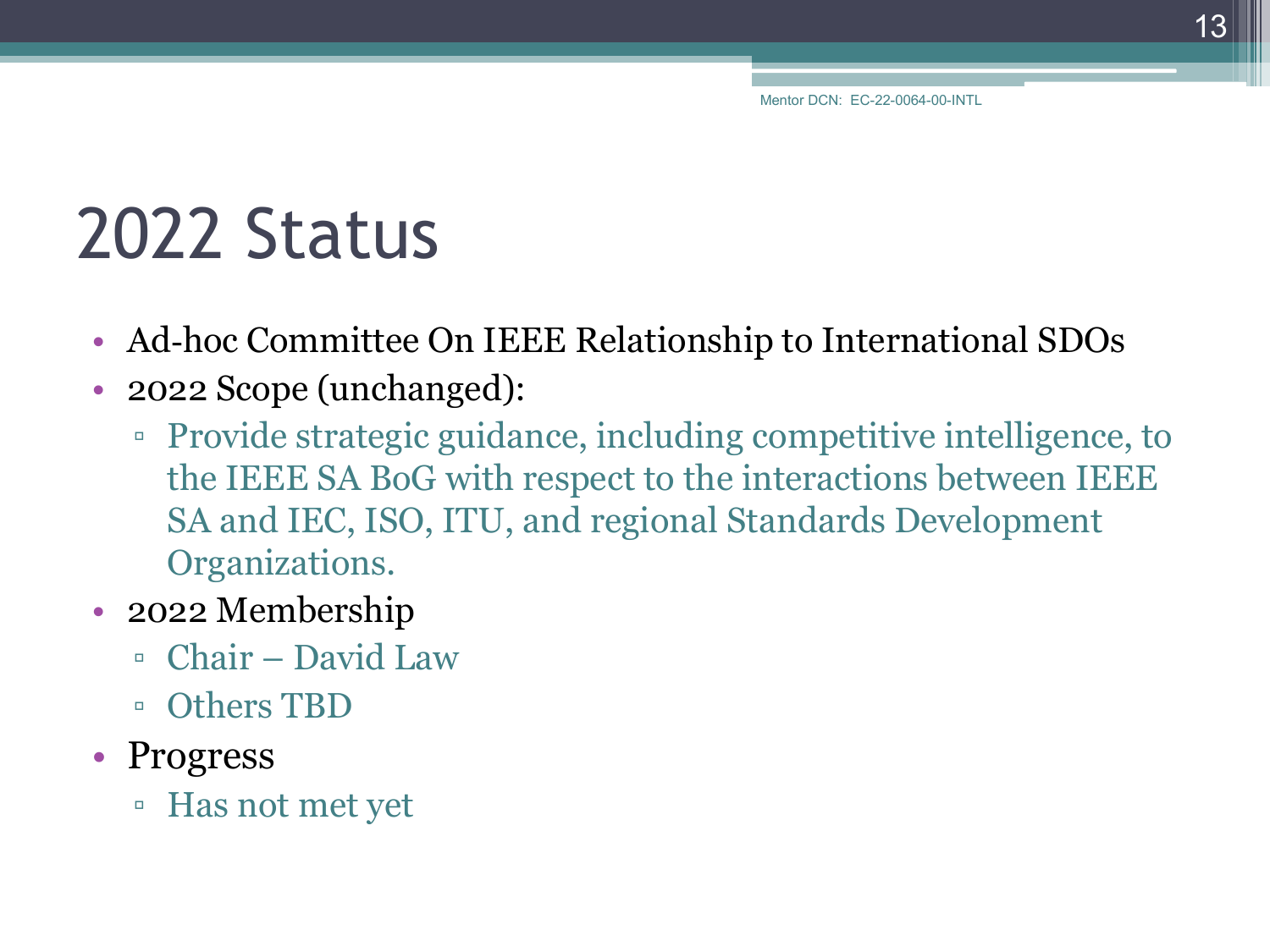#### 2022 Status

- Ad-hoc Committee On IEEE Relationship to International SDOs
- 2022 Scope (unchanged):
	- Provide strategic guidance, including competitive intelligence, to the IEEE SA BoG with respect to the interactions between IEEE SA and IEC, ISO, ITU, and regional Standards Development Organizations.
- 2022 Membership
	- Chair David Law
	- Others TBD
- Progress
	- Has not met yet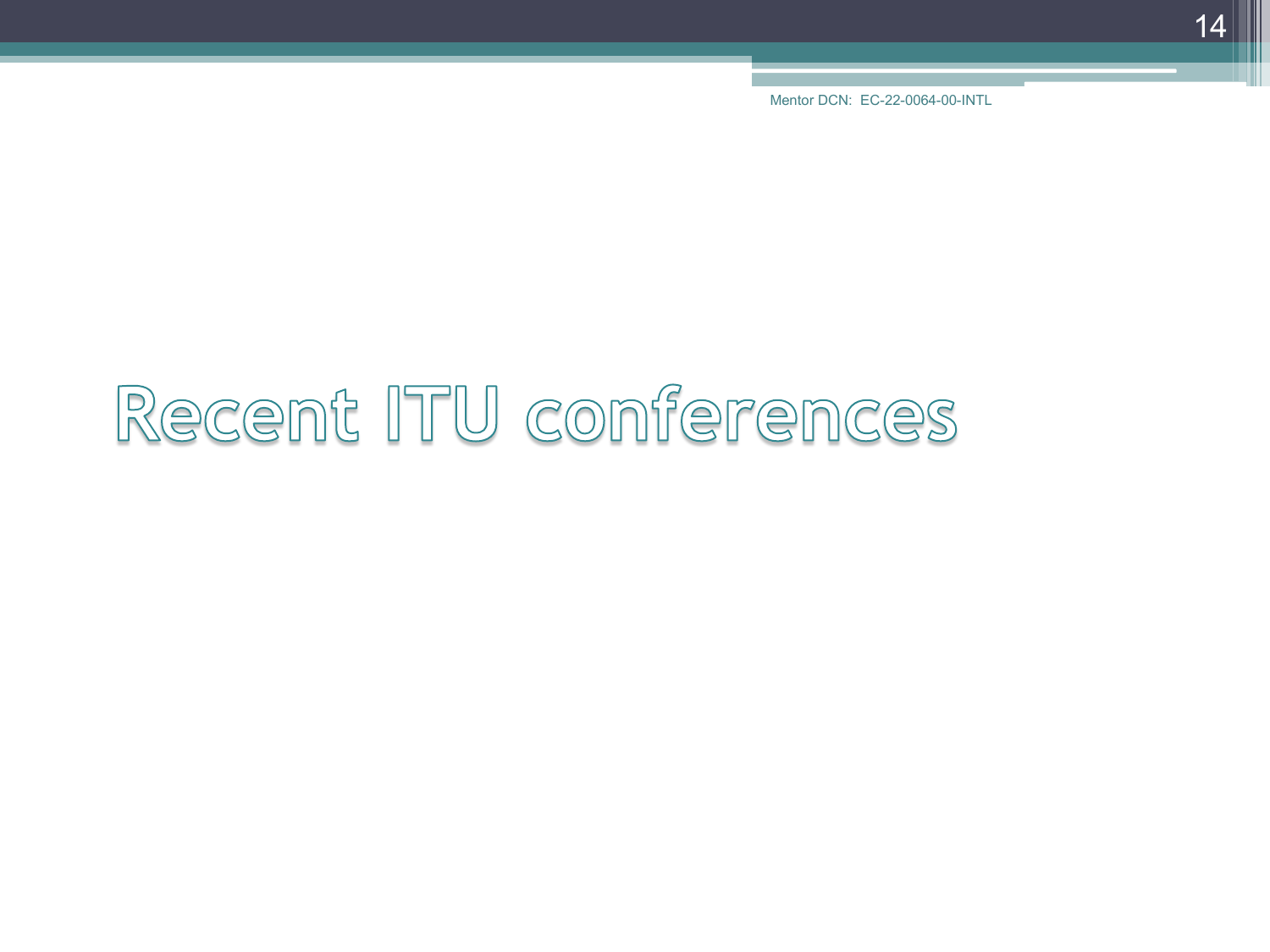14

Mentor DCN: EC-22-0064-00-INTL

# Recent ITU conferences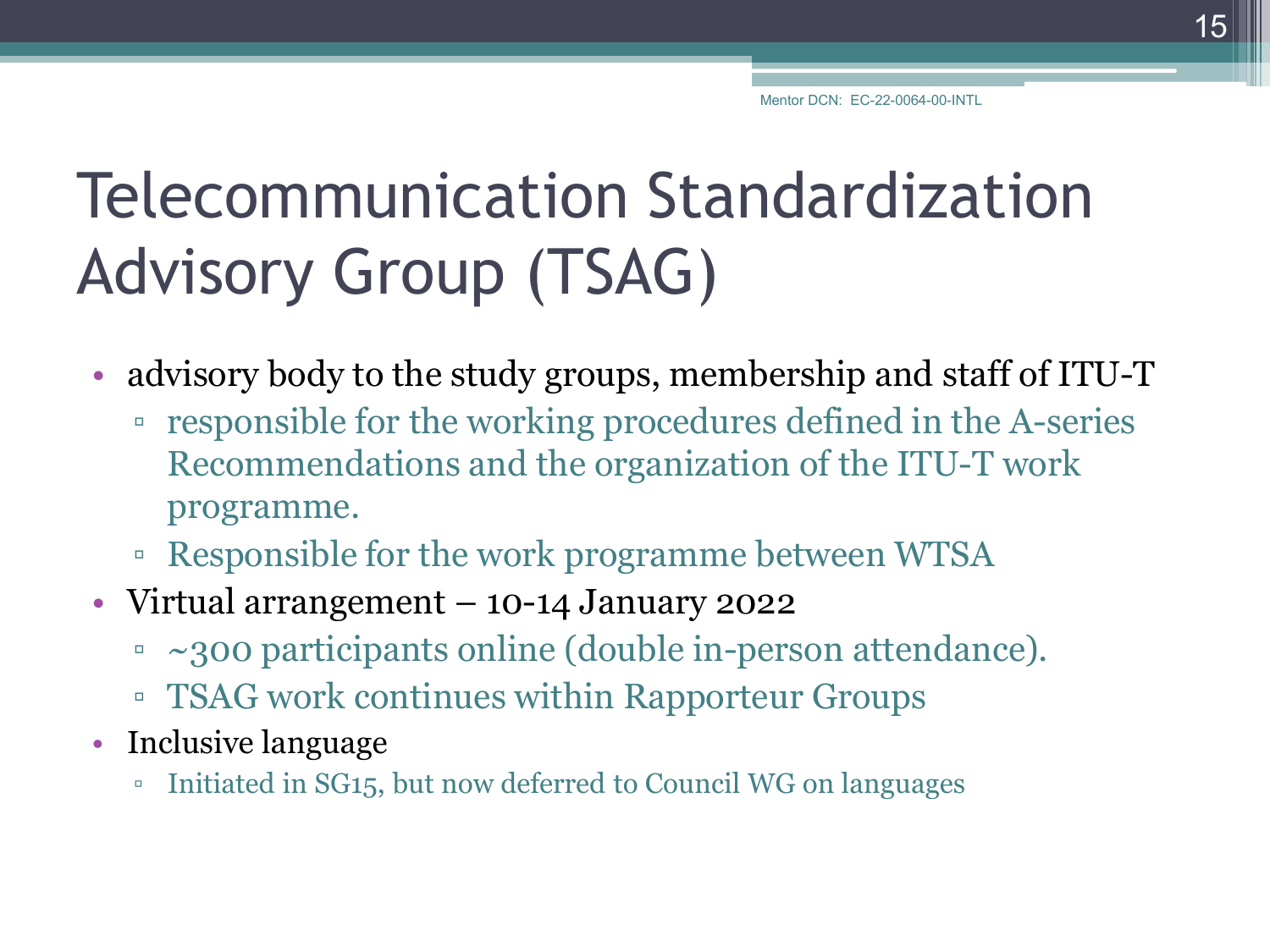#### Telecommunication Standardization Advisory Group (TSAG)

- advisory body to the study groups, membership and staff of ITU-T
	- responsible for the working procedures defined in the A-series Recommendations and the organization of the ITU-T work programme.
	- Responsible for the work programme between WTSA
- Virtual arrangement 10-14 January 2022
	- ~300 participants online (double in-person attendance).
	- TSAG work continues within Rapporteur Groups
- Inclusive language
	- Initiated in SG15, but now deferred to Council WG on languages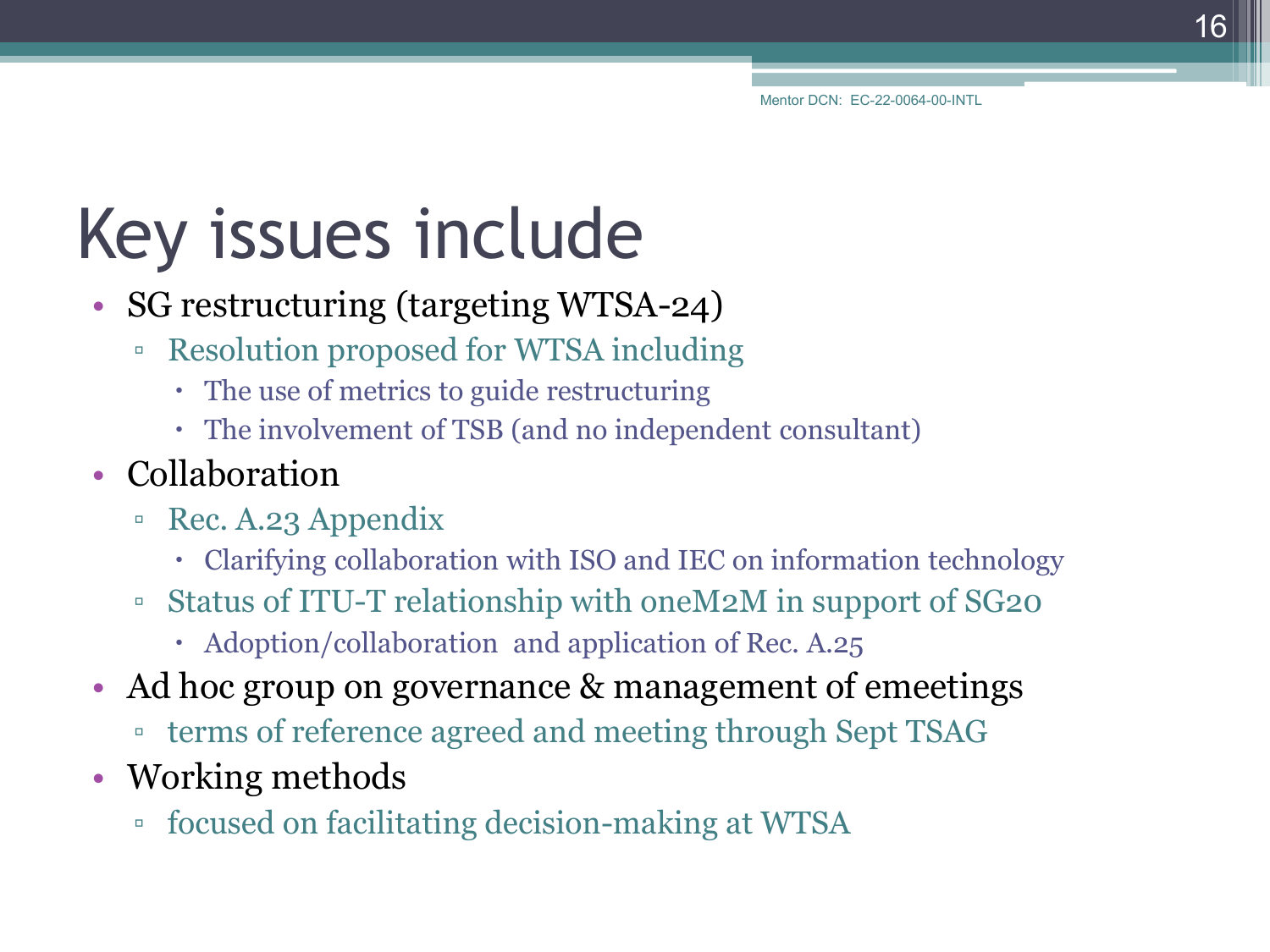# Key issues include

- SG restructuring (targeting WTSA-24)
	- Resolution proposed for WTSA including
		- The use of metrics to guide restructuring
		- The involvement of TSB (and no independent consultant)
- Collaboration
	- Rec. A.23 Appendix
		- Clarifying collaboration with ISO and IEC on information technology
	- Status of ITU-T relationship with oneM2M in support of SG20
		- Adoption/collaboration and application of Rec. A.25
- Ad hoc group on governance & management of emeetings
	- terms of reference agreed and meeting through Sept TSAG
- Working methods
	- focused on facilitating decision-making at WTSA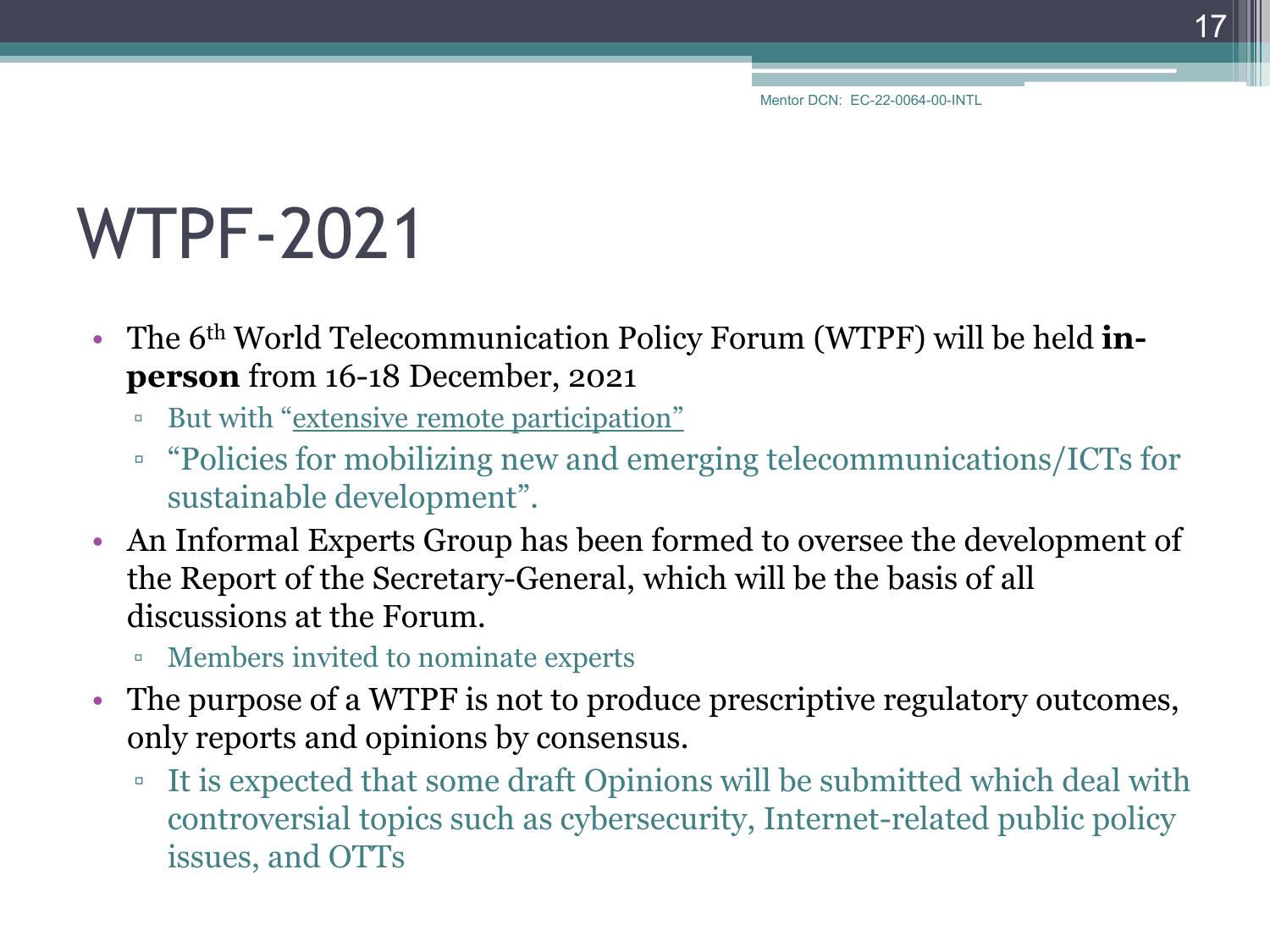#### WTPF-2021

- The 6<sup>th</sup> World Telecommunication Policy Forum (WTPF) will be held **inperson** from 16-18 December, 2021
	- But with "extensive remote participation"
	- "Policies for mobilizing new and emerging telecommunications/ICTs for sustainable development".
- An Informal Experts Group has been formed to oversee the development of the Report of the Secretary-General, which will be the basis of all discussions at the Forum.
	- Members invited to nominate experts
- The purpose of a WTPF is not to produce prescriptive regulatory outcomes, only reports and opinions by consensus.
	- It is expected that some draft Opinions will be submitted which deal with controversial topics such as cybersecurity, Internet-related public policy issues, and OTTs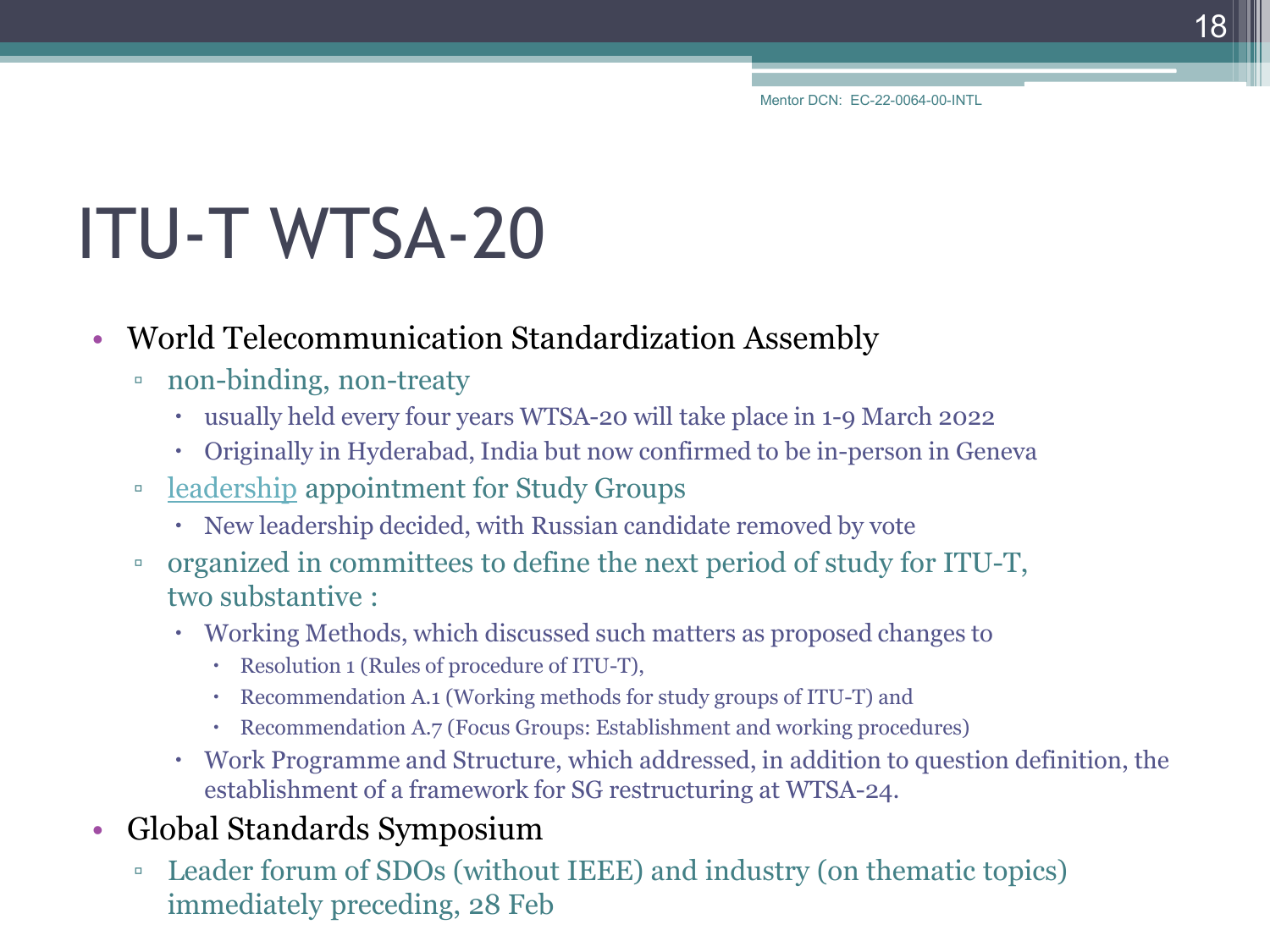# ITU-T WTSA-20

#### • World Telecommunication Standardization Assembly

- non-binding, non-treaty
	- usually held every four years WTSA-20 will take place in 1-9 March 2022
	- Originally in Hyderabad, India but now confirmed to be in-person in Geneva
- [leadership](https://www.itu.int/en/ITU-T/wtsa20/candidates/Pages/default.aspx) appointment for Study Groups
	- New leadership decided, with Russian candidate removed by vote
- organized in committees to define the next period of study for ITU-T, two substantive :
	- Working Methods, which discussed such matters as proposed changes to
		- Resolution 1 (Rules of procedure of ITU-T),
		- Recommendation A.1 (Working methods for study groups of ITU-T) and
		- Recommendation A.7 (Focus Groups: Establishment and working procedures)
	- Work Programme and Structure, which addressed, in addition to question definition, the establishment of a framework for SG restructuring at WTSA-24.

#### • Global Standards Symposium

▫ Leader forum of SDOs (without IEEE) and industry (on thematic topics) immediately preceding, 28 Feb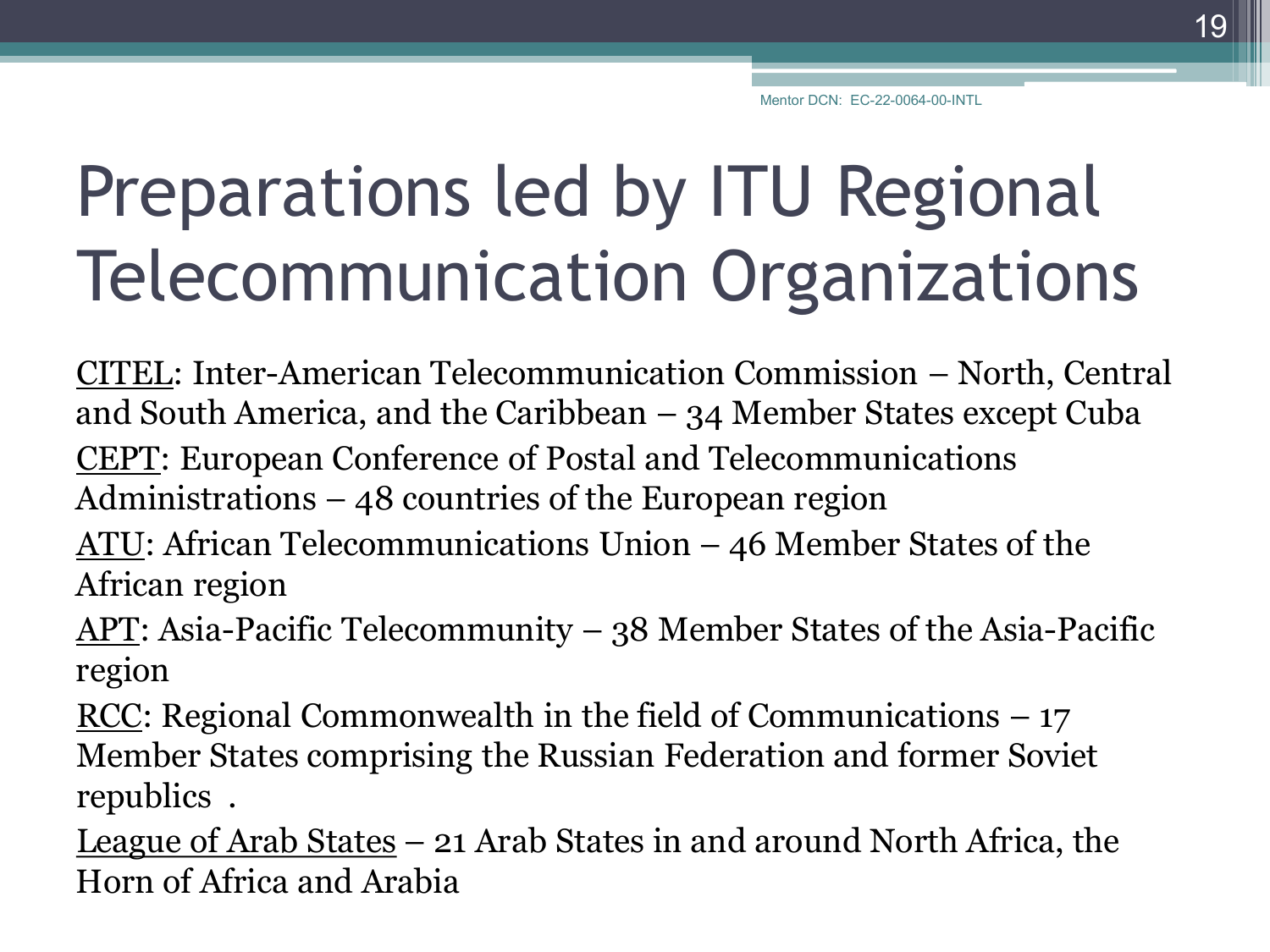# Preparations led by ITU Regional Telecommunication Organizations

CITEL: Inter-American Telecommunication Commission – North, Central and South America, and the Caribbean – 34 Member States except Cuba CEPT: European Conference of Postal and Telecommunications Administrations – 48 countries of the European region

ATU: African Telecommunications Union – 46 Member States of the African region

APT: Asia-Pacific Telecommunity – 38 Member States of the Asia-Pacific region

RCC: Regional Commonwealth in the field of Communications  $-17$ Member States comprising the Russian Federation and former Soviet republics .

League of Arab States – 21 Arab States in and around North Africa, the Horn of Africa and Arabia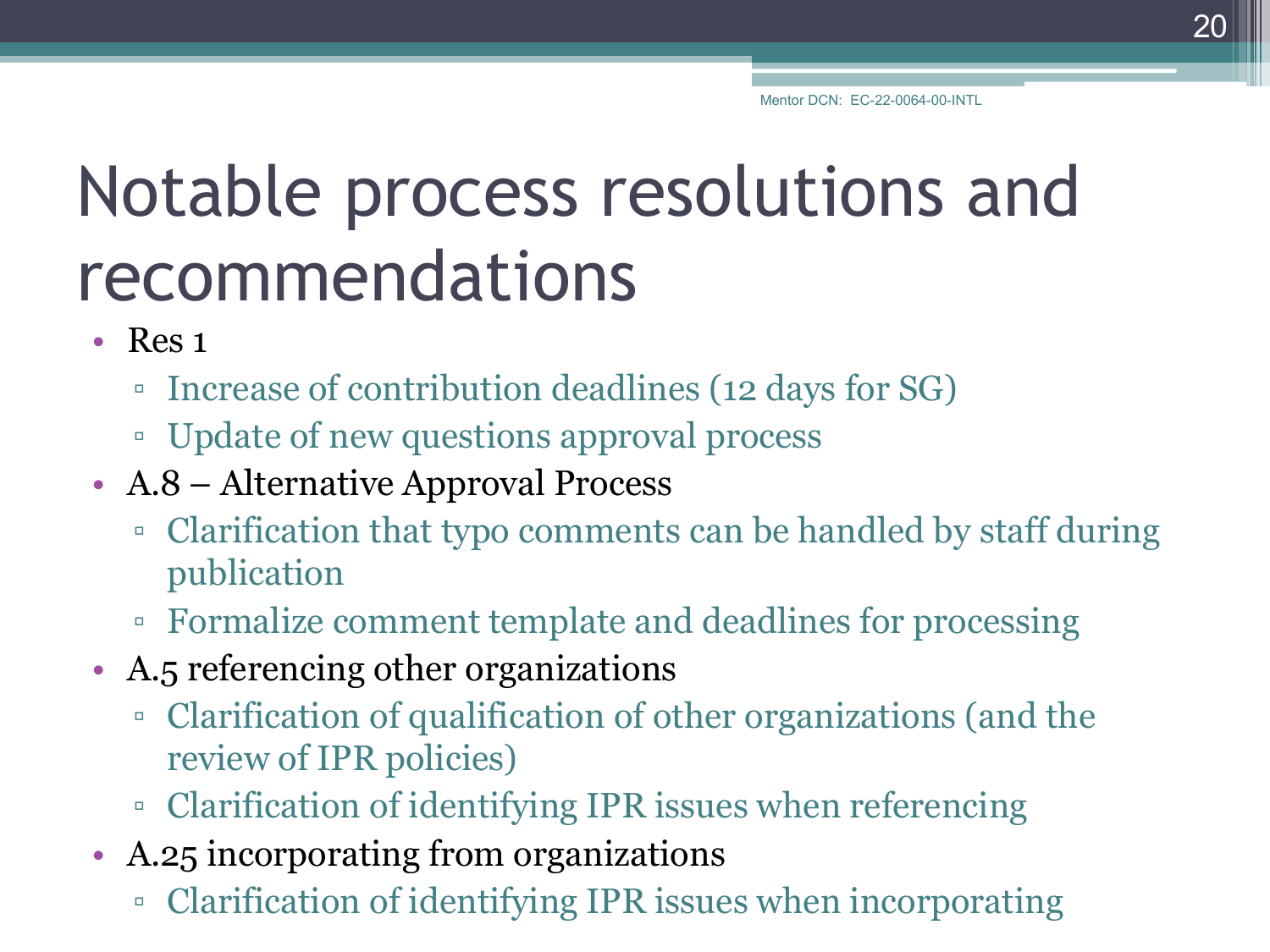# Notable process resolutions and recommendations

- Res 1
	- Increase of contribution deadlines (12 days for SG)
	- Update of new questions approval process
- A.8 Alternative Approval Process
	- Clarification that typo comments can be handled by staff during publication
	- Formalize comment template and deadlines for processing
- A.5 referencing other organizations
	- Clarification of qualification of other organizations (and the review of IPR policies)
	- Clarification of identifying IPR issues when referencing
- A.25 incorporating from organizations
	- Clarification of identifying IPR issues when incorporating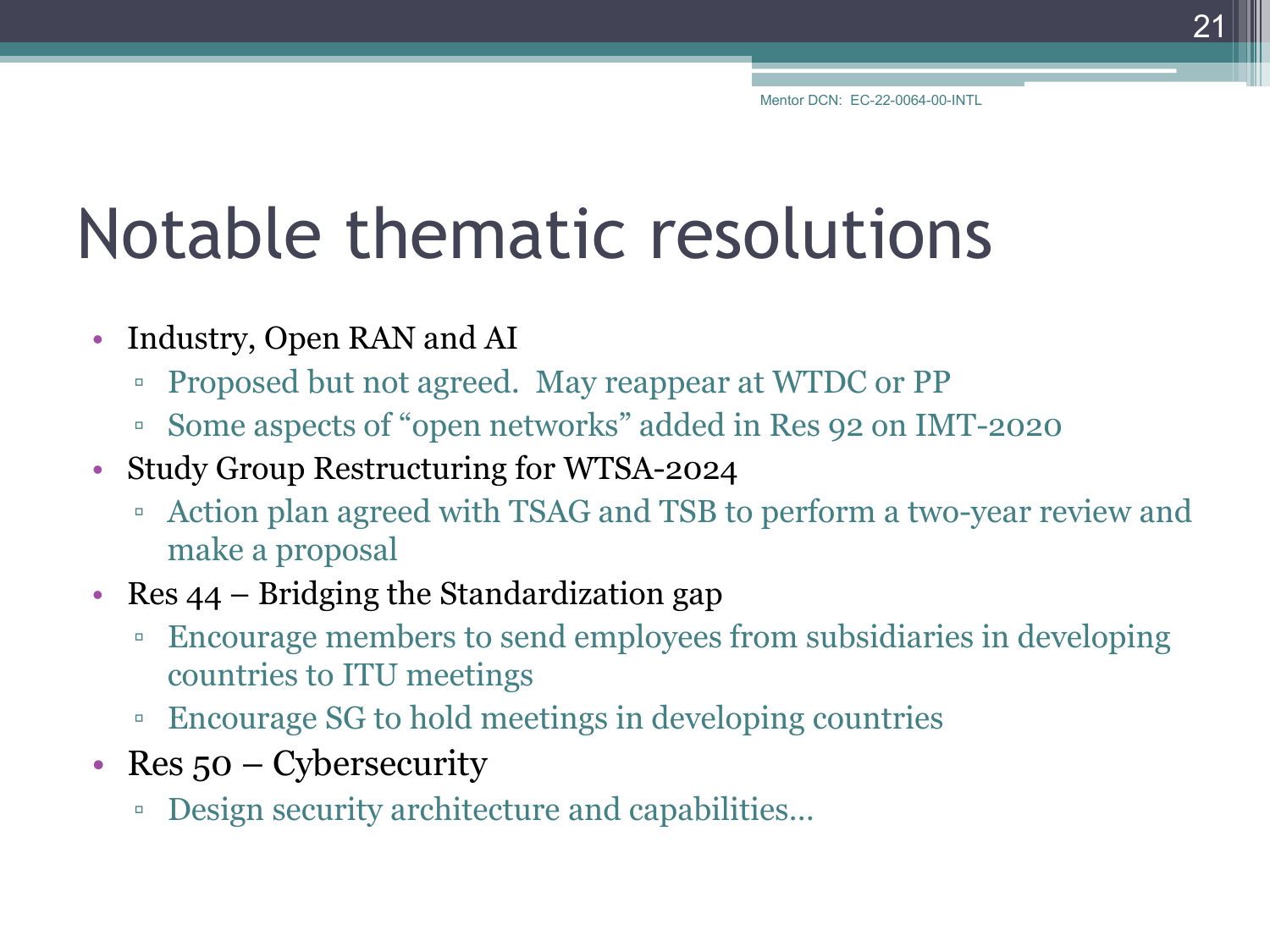#### Notable thematic resolutions

- Industry, Open RAN and AI
	- Proposed but not agreed. May reappear at WTDC or PP
	- Some aspects of "open networks" added in Res 92 on IMT-2020
- Study Group Restructuring for WTSA-2024
	- Action plan agreed with TSAG and TSB to perform a two-year review and make a proposal
- Res 44 Bridging the Standardization gap
	- Encourage members to send employees from subsidiaries in developing countries to ITU meetings
	- Encourage SG to hold meetings in developing countries
- Res 50 Cybersecurity
	- Design security architecture and capabilities…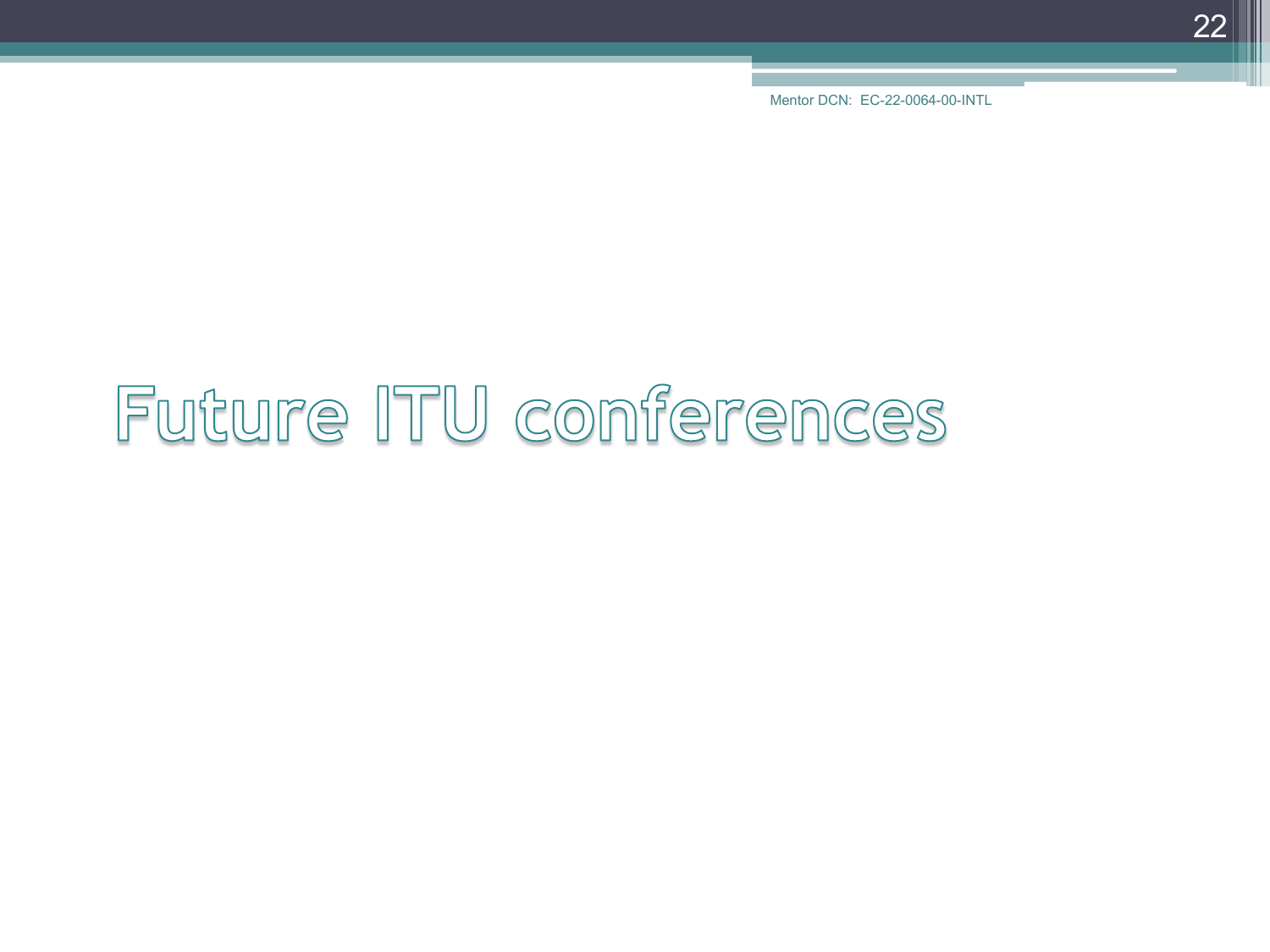22

# Future ITU conferences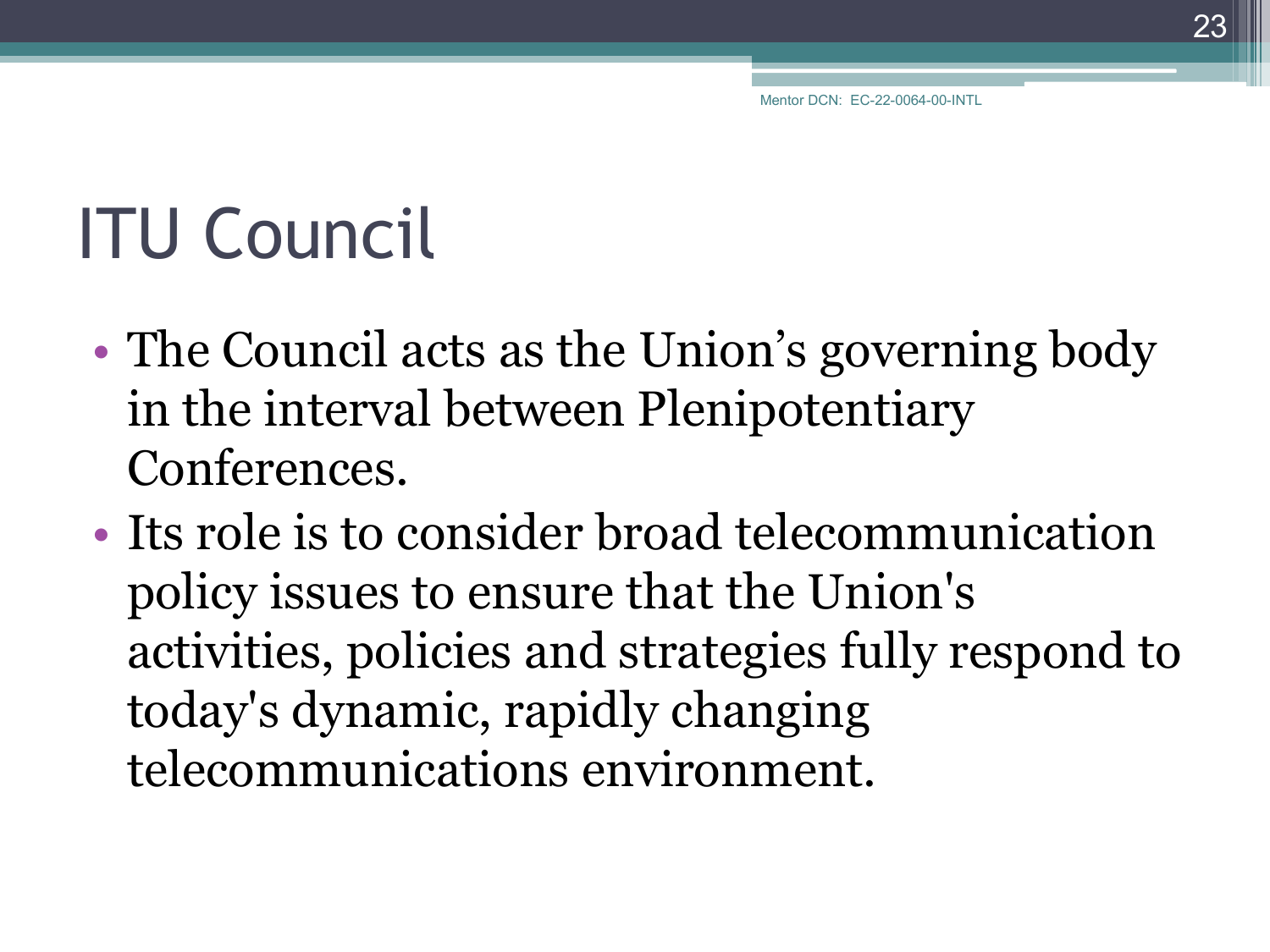23

# ITU Council

- The Council acts as the Union's governing body in the interval between Plenipotentiary Conferences.
- Its role is to consider broad telecommunication policy issues to ensure that the Union's activities, policies and strategies fully respond to today's dynamic, rapidly changing telecommunications environment.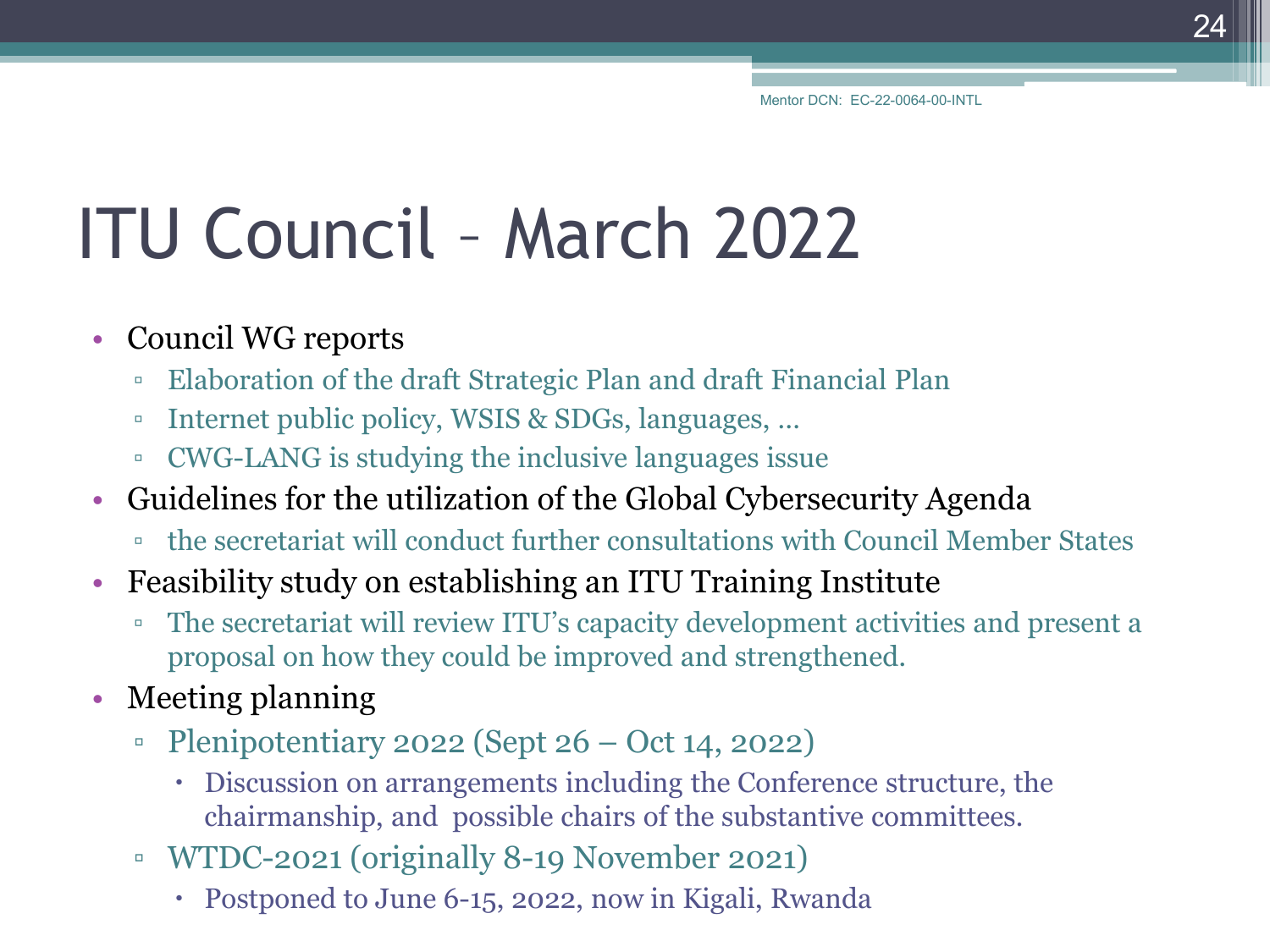24

# ITU Council – March 2022

#### • Council WG reports

- Elaboration of the draft Strategic Plan and draft Financial Plan
- Internet public policy, WSIS & SDGs, languages, …
- CWG-LANG is studying the inclusive languages issue
- Guidelines for the utilization of the Global Cybersecurity Agenda
	- the secretariat will conduct further consultations with Council Member States
- Feasibility study on establishing an ITU Training Institute
	- The secretariat will review ITU's capacity development activities and present a proposal on how they could be improved and strengthened.
- Meeting planning
	- $\degree$  Plenipotentiary 2022 (Sept 26 Oct 14, 2022)
		- Discussion on arrangements including the Conference structure, the chairmanship, and possible chairs of the substantive committees.
	- WTDC-2021 (originally 8-19 November 2021)
		- Postponed to June 6-15, 2022, now in Kigali, Rwanda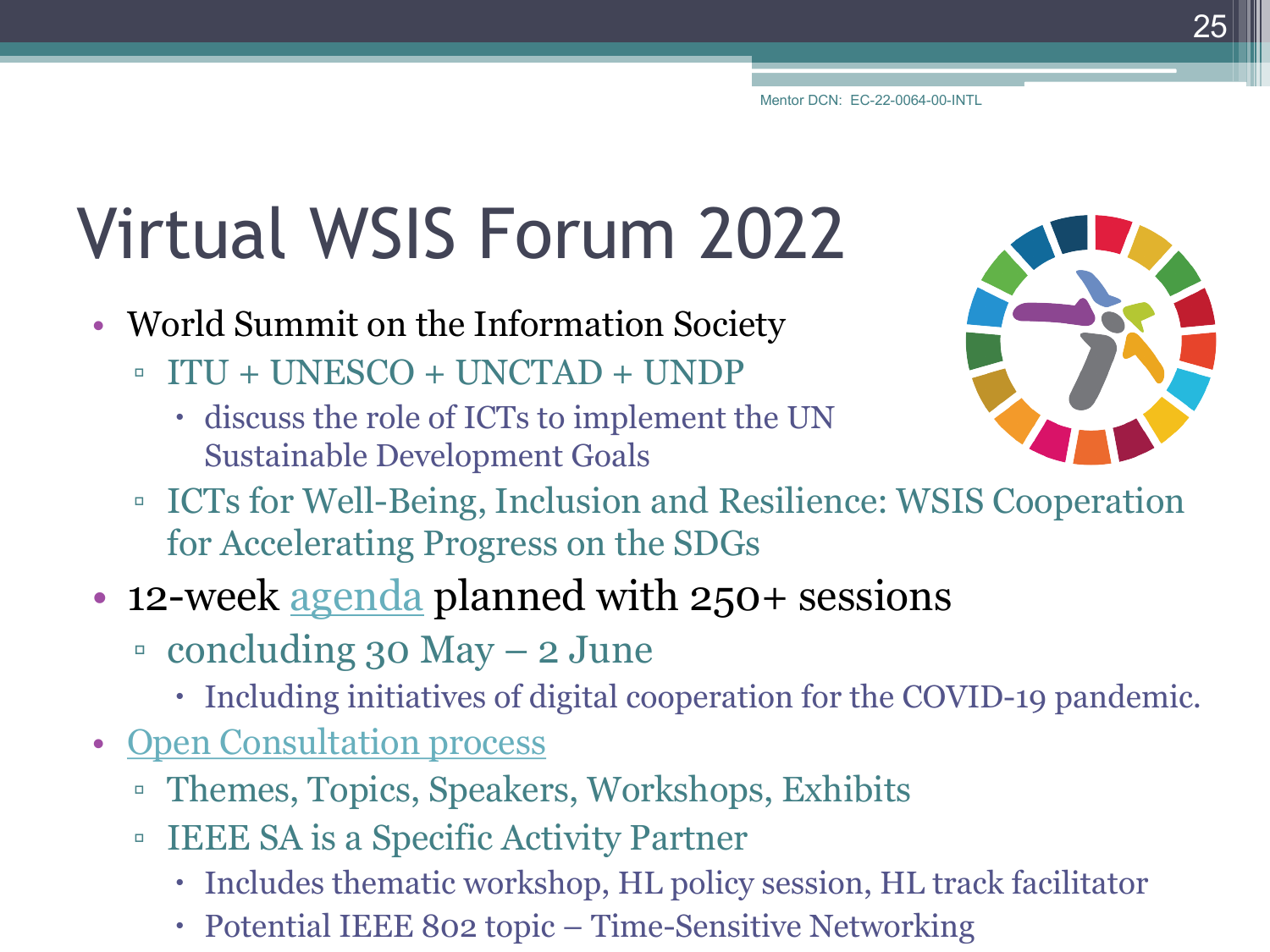# Virtual WSIS Forum 2022

- World Summit on the Information Society
	- ITU + UNESCO + UNCTAD + UNDP
		- discuss the role of ICTs to implement the UN Sustainable Development Goals
	- ICTs for Well-Being, Inclusion and Resilience: WSIS Cooperation for Accelerating Progress on the SDGs
- 12-week [agenda](https://www.itu.int/net4/wsis/forum/2022) planned with 250+ sessions
	- concluding 30 May 2 June
		- Including initiatives of digital cooperation for the COVID-19 pandemic.
- [Open Consultation process](https://www.itu.int/net4/wsis/forum/2022/Home/Consultations)
	- Themes, Topics, Speakers, Workshops, Exhibits
	- IEEE SA is a Specific Activity Partner
		- Includes thematic workshop, HL policy session, HL track facilitator
		- Potential IEEE 802 topic Time-Sensitive Networking

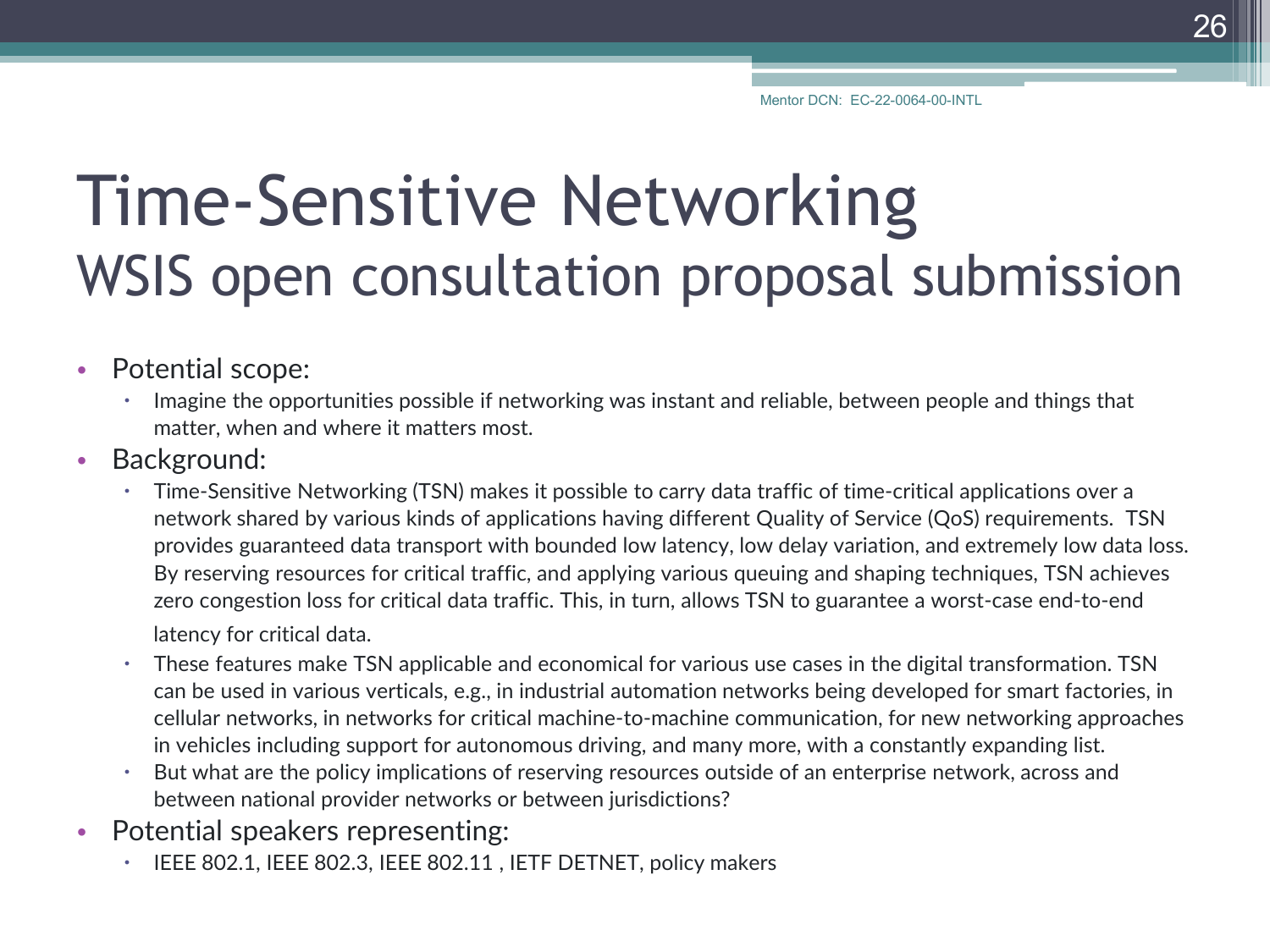#### Time-Sensitive Networking WSIS open consultation proposal submission

- Potential scope:
	- Imagine the opportunities possible if networking was instant and reliable, between people and things that matter, when and where it matters most.
- Background:
	- Time-Sensitive Networking (TSN) makes it possible to carry data traffic of time-critical applications over a network shared by various kinds of applications having different Quality of Service (QoS) requirements. TSN provides guaranteed data transport with bounded low latency, low delay variation, and extremely low data loss. By reserving resources for critical traffic, and applying various queuing and shaping techniques, TSN achieves zero congestion loss for critical data traffic. This, in turn, allows TSN to guarantee a worst-case end-to-end latency for critical data.
	- These features make TSN applicable and economical for various use cases in the digital transformation. TSN can be used in various verticals, e.g., in industrial automation networks being developed for smart factories, in cellular networks, in networks for critical machine-to-machine communication, for new networking approaches in vehicles including support for autonomous driving, and many more, with a constantly expanding list.
	- But what are the policy implications of reserving resources outside of an enterprise network, across and between national provider networks or between jurisdictions?
- Potential speakers representing:
	- IEEE 802.1, IEEE 802.3, IEEE 802.11 , IETF DETNET, policy makers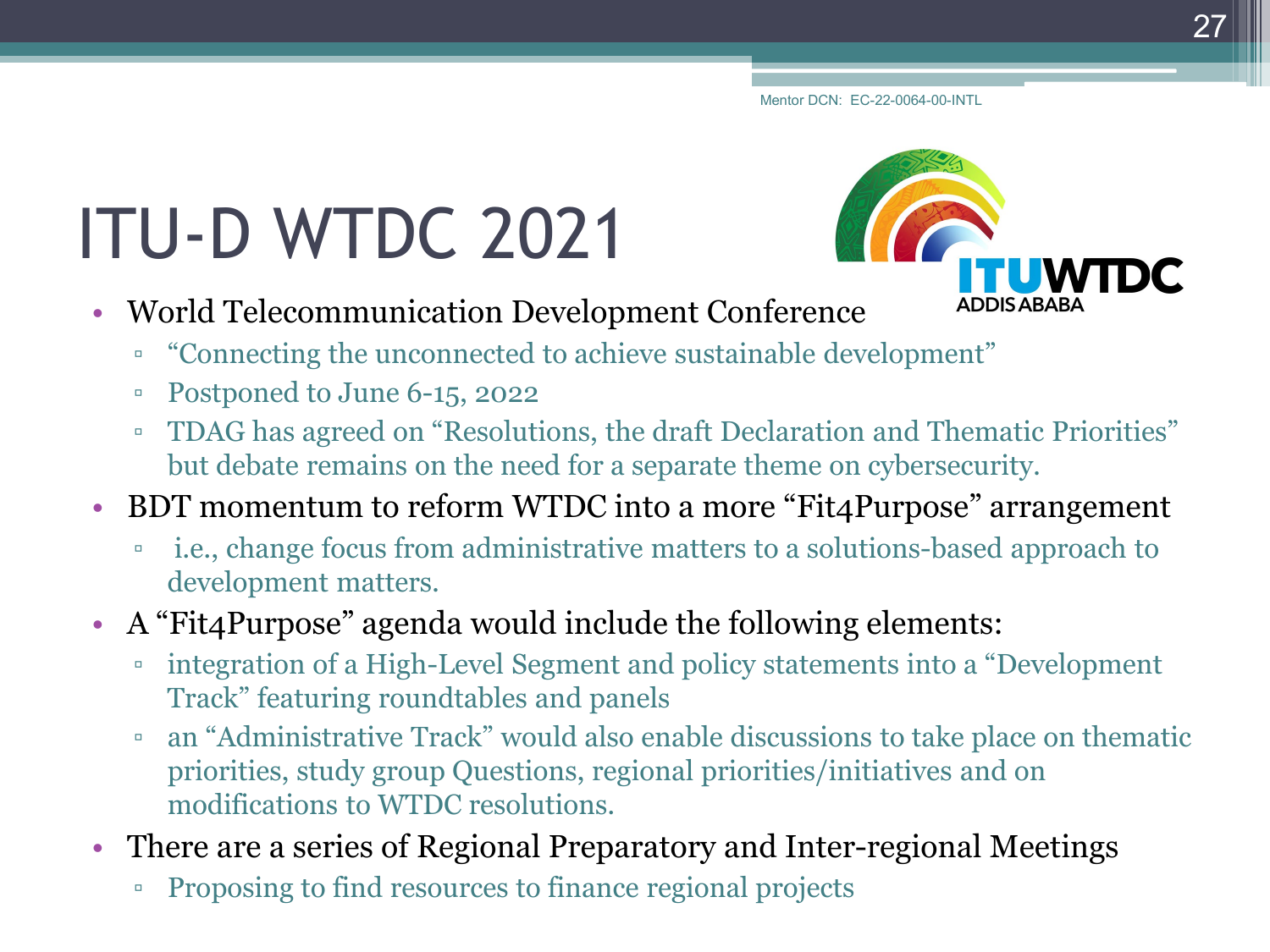# ITU-D WTDC 2021

- World Telecommunication Development Conference
	- "Connecting the unconnected to achieve sustainable development"
	- Postponed to June 6-15, 2022
	- TDAG has agreed on "Resolutions, the draft Declaration and Thematic Priorities" but debate remains on the need for a separate theme on cybersecurity.
- BDT momentum to reform WTDC into a more "Fit4Purpose" arrangement
	- i.e., change focus from administrative matters to a solutions-based approach to development matters.
- A "Fit4Purpose" agenda would include the following elements:
	- integration of a High-Level Segment and policy statements into a "Development Track" featuring roundtables and panels
	- an "Administrative Track" would also enable discussions to take place on thematic priorities, study group Questions, regional priorities/initiatives and on modifications to WTDC resolutions.
- There are a series of Regional Preparatory and Inter-regional Meetings
	- Proposing to find resources to finance regional projects

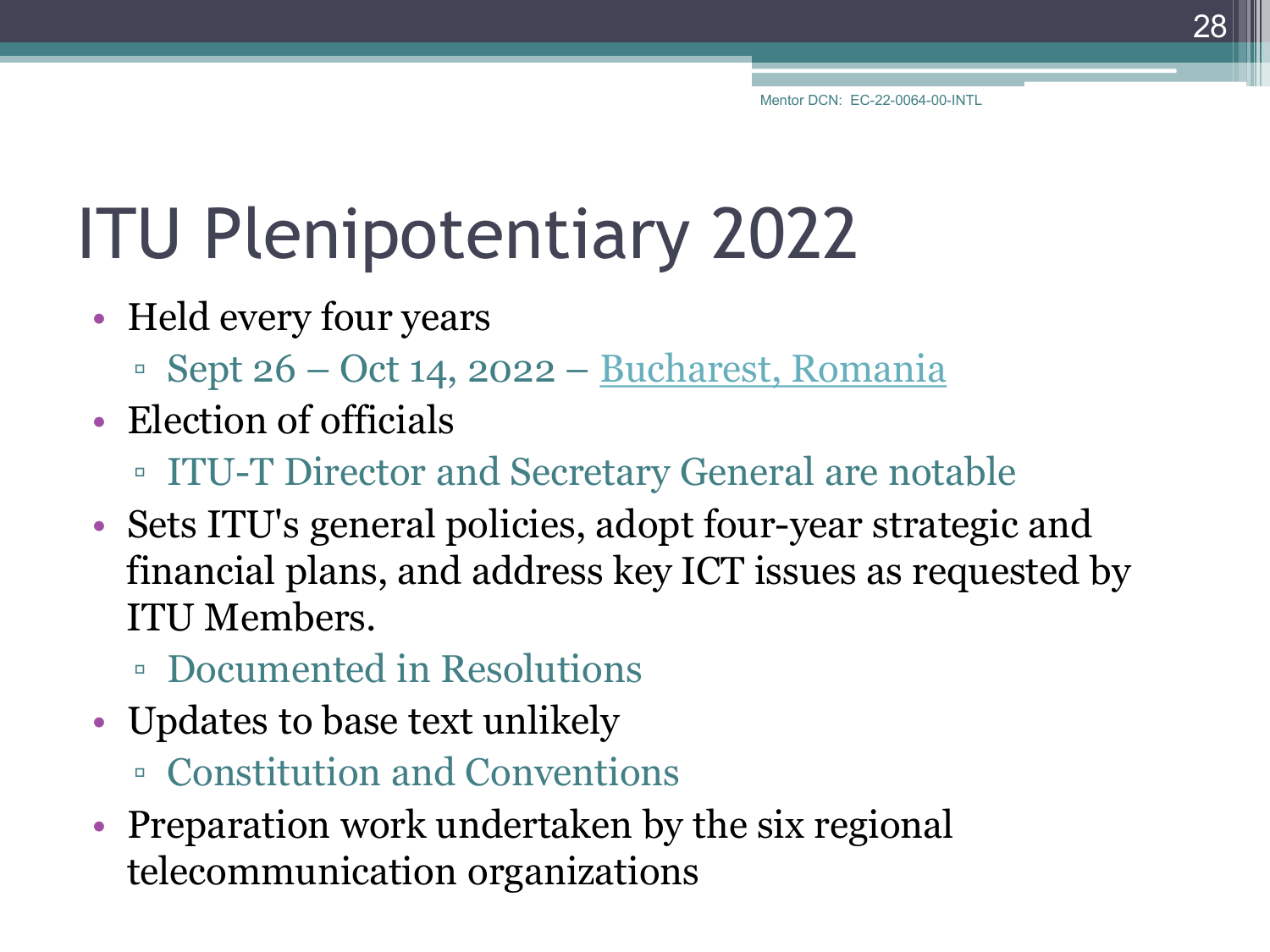28

# ITU Plenipotentiary 2022

- Held every four years
	- $\textdegree$  Sept 26 Oct 14, 2022 [Bucharest, Romania](https://www.itu.int/en/mediacentre/Pages/pr07-2021-PP22-HC-agreement.aspx)
- Election of officials
	- ITU-T Director and Secretary General are notable
- Sets ITU's general policies, adopt four-year strategic and financial plans, and address key ICT issues as requested by ITU Members.
	- Documented in Resolutions
- Updates to base text unlikely
	- Constitution and Conventions
- Preparation work undertaken by the six regional telecommunication organizations